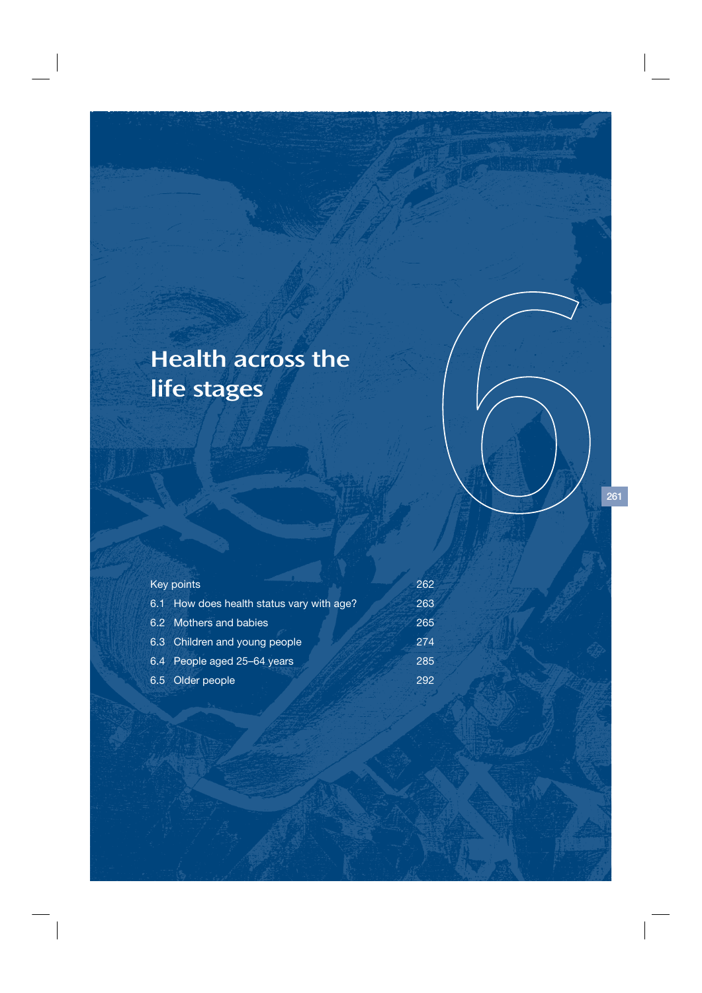# Health across the life stages

| Key points                                | 262 |
|-------------------------------------------|-----|
| 6.1 How does health status vary with age? | 263 |
| 6.2 Mothers and babies                    | 265 |
| 6.3 Children and young people             | 274 |
| 6.4 People aged 25-64 years               | 285 |
| 6.5 Older people                          | 292 |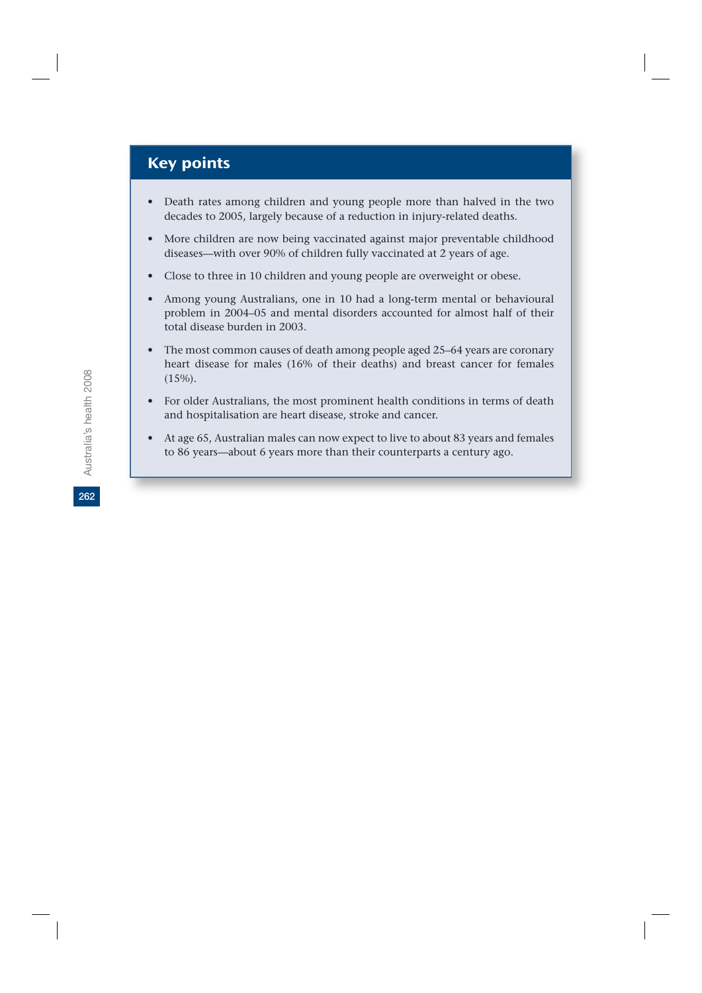# Key points

- Death rates among children and young people more than halved in the two decades to 2005, largely because of a reduction in injury-related deaths.
- More children are now being vaccinated against major preventable childhood diseases—with over 90% of children fully vaccinated at 2 years of age.
- Close to three in 10 children and young people are overweight or obese.
- Among young Australians, one in 10 had a long-term mental or behavioural problem in 2004–05 and mental disorders accounted for almost half of their total disease burden in 2003.
- The most common causes of death among people aged 25–64 years are coronary heart disease for males (16% of their deaths) and breast cancer for females  $(15\%)$ .
- For older Australians, the most prominent health conditions in terms of death and hospitalisation are heart disease, stroke and cancer.
- At age 65, Australian males can now expect to live to about 83 years and females to 86 years—about 6 years more than their counterparts a century ago.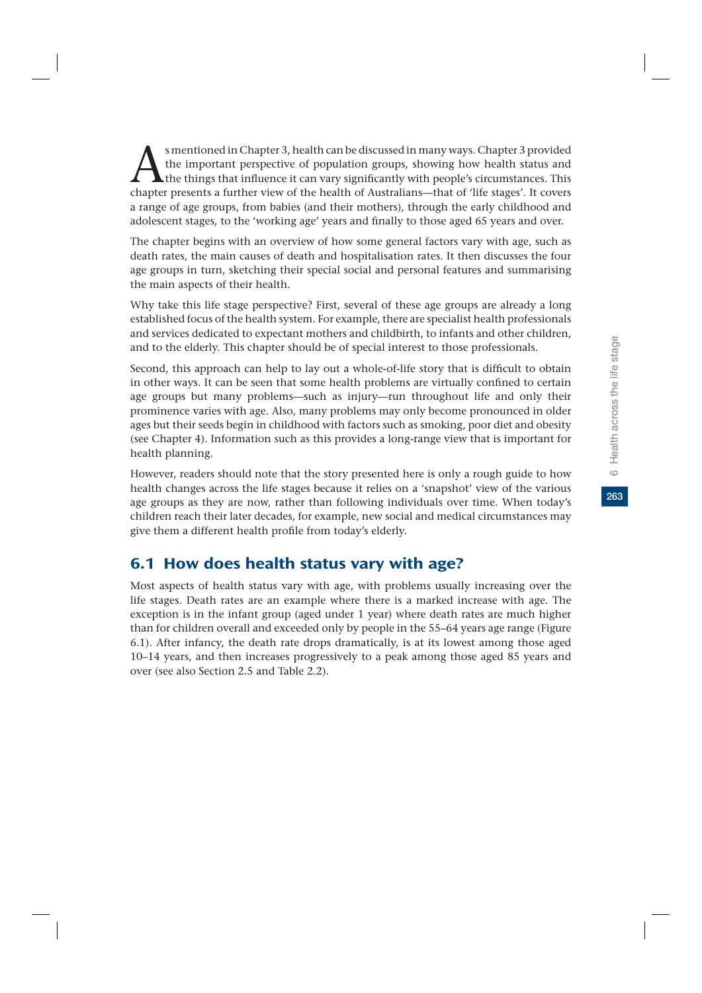263

s mentioned in Chapter 3, health can be discussed in many ways. Chapter 3 provided<br>the important perspective of population groups, showing how health status and<br>the things that influence it can vary significantly with peop the important perspective of population groups, showing how health status and the things that influence it can vary significantly with people's circumstances. This chapter presents a further view of the health of Australians—that of 'life stages'. It covers a range of age groups, from babies (and their mothers), through the early childhood and adolescent stages, to the 'working age' years and finally to those aged 65 years and over.

The chapter begins with an overview of how some general factors vary with age, such as death rates, the main causes of death and hospitalisation rates. It then discusses the four age groups in turn, sketching their special social and personal features and summarising the main aspects of their health.

Why take this life stage perspective? First, several of these age groups are already a long established focus of the health system. For example, there are specialist health professionals and services dedicated to expectant mothers and childbirth, to infants and other children, and to the elderly. This chapter should be of special interest to those professionals.

Second, this approach can help to lay out a whole-of-life story that is difficult to obtain in other ways. It can be seen that some health problems are virtually confined to certain age groups but many problems—such as injury—run throughout life and only their prominence varies with age. Also, many problems may only become pronounced in older ages but their seeds begin in childhood with factors such as smoking, poor diet and obesity (see Chapter 4). Information such as this provides a long-range view that is important for health planning.

However, readers should note that the story presented here is only a rough guide to how health changes across the life stages because it relies on a 'snapshot' view of the various age groups as they are now, rather than following individuals over time. When today's children reach their later decades, for example, new social and medical circumstances may give them a different health profile from today's elderly.

# 6.1 How does health status vary with age?

Most aspects of health status vary with age, with problems usually increasing over the life stages. Death rates are an example where there is a marked increase with age. The exception is in the infant group (aged under 1 year) where death rates are much higher than for children overall and exceeded only by people in the 55–64 years age range (Figure 6.1). After infancy, the death rate drops dramatically, is at its lowest among those aged 10–14 years, and then increases progressively to a peak among those aged 85 years and over (see also Section 2.5 and Table 2.2).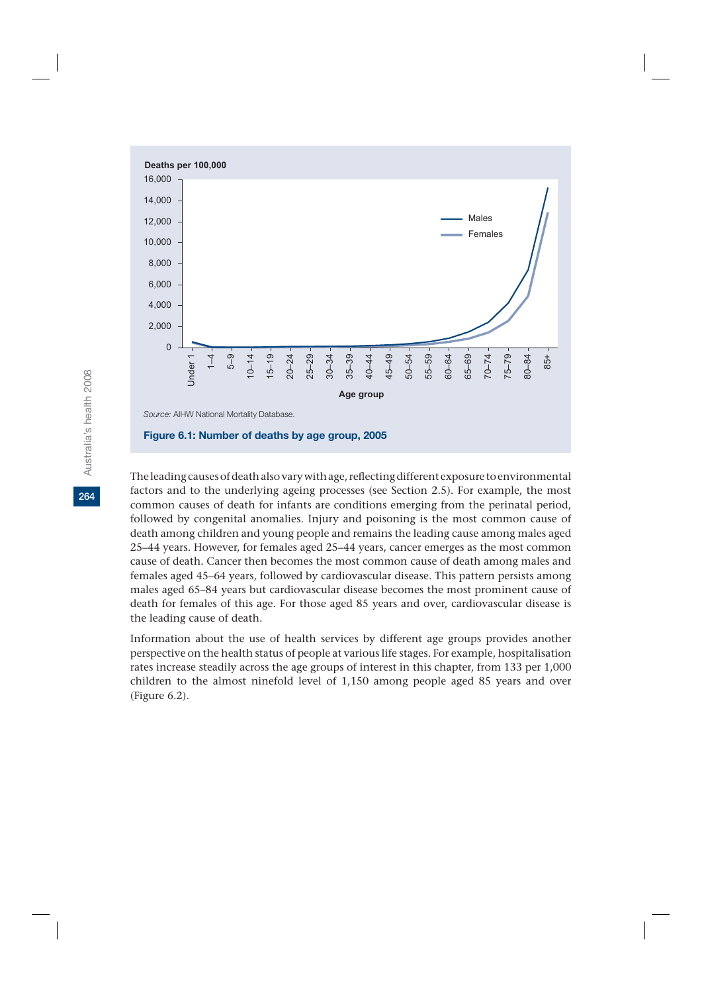

The leading causes of death also vary with age, reflecting different exposure to environmental factors and to the underlying ageing processes (see Section 2.5). For example, the most common causes of death for infants are conditions emerging from the perinatal period, followed by congenital anomalies. Injury and poisoning is the most common cause of death among children and young people and remains the leading cause among males aged 25–44 years. However, for females aged 25–44 years, cancer emerges as the most common cause of death. Cancer then becomes the most common cause of death among males and females aged 45–64 years, followed by cardiovascular disease. This pattern persists among males aged 65–84 years but cardiovascular disease becomes the most prominent cause of death for females of this age. For those aged 85 years and over, cardiovascular disease is the leading cause of death.

Information about the use of health services by different age groups provides another perspective on the health status of people at various life stages. For example, hospitalisation rates increase steadily across the age groups of interest in this chapter, from 133 per 1,000 children to the almost ninefold level of 1,150 among people aged 85 years and over (Figure 6.2).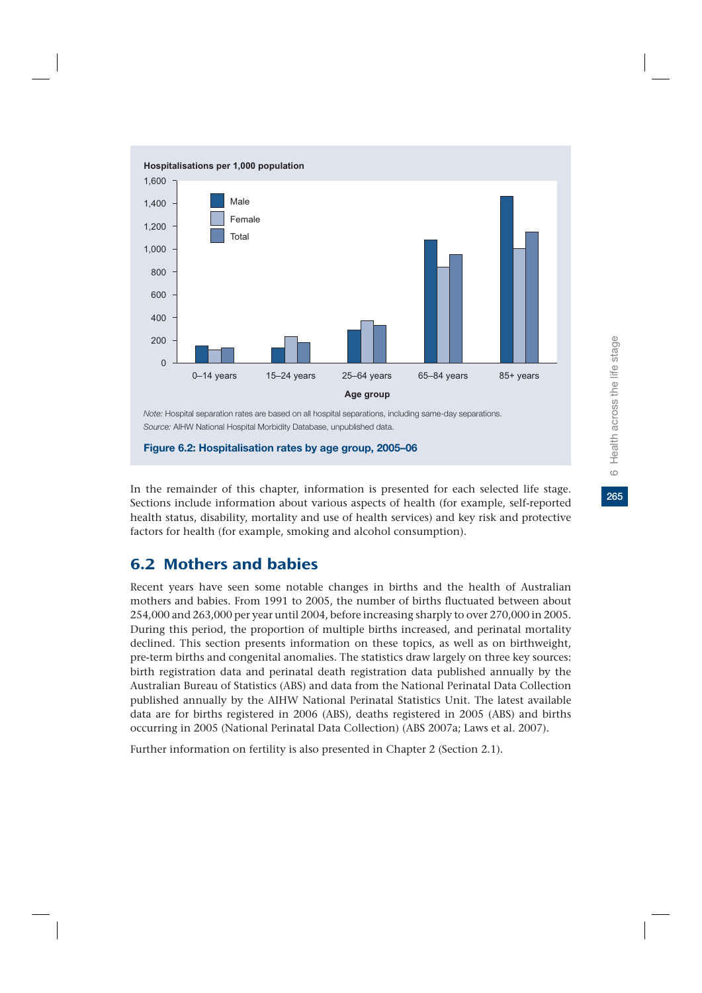

#### **Figure 6.2: Hospitalisation rates by age group, 2005–06**

In the remainder of this chapter, information is presented for each selected life stage. Sections include information about various aspects of health (for example, self-reported health status, disability, mortality and use of health services) and key risk and protective factors for health (for example, smoking and alcohol consumption).

# 6.2 Mothers and babies

Recent years have seen some notable changes in births and the health of Australian mothers and babies. From 1991 to 2005, the number of births fluctuated between about 254,000 and 263,000 per year until 2004, before increasing sharply to over 270,000 in 2005. During this period, the proportion of multiple births increased, and perinatal mortality declined. This section presents information on these topics, as well as on birthweight, pre-term births and congenital anomalies. The statistics draw largely on three key sources: birth registration data and perinatal death registration data published annually by the Australian Bureau of Statistics (ABS) and data from the National Perinatal Data Collection published annually by the AIHW National Perinatal Statistics Unit. The latest available data are for births registered in 2006 (ABS), deaths registered in 2005 (ABS) and births occurring in 2005 (National Perinatal Data Collection) (ABS 2007a; Laws et al. 2007).

Further information on fertility is also presented in Chapter 2 (Section 2.1).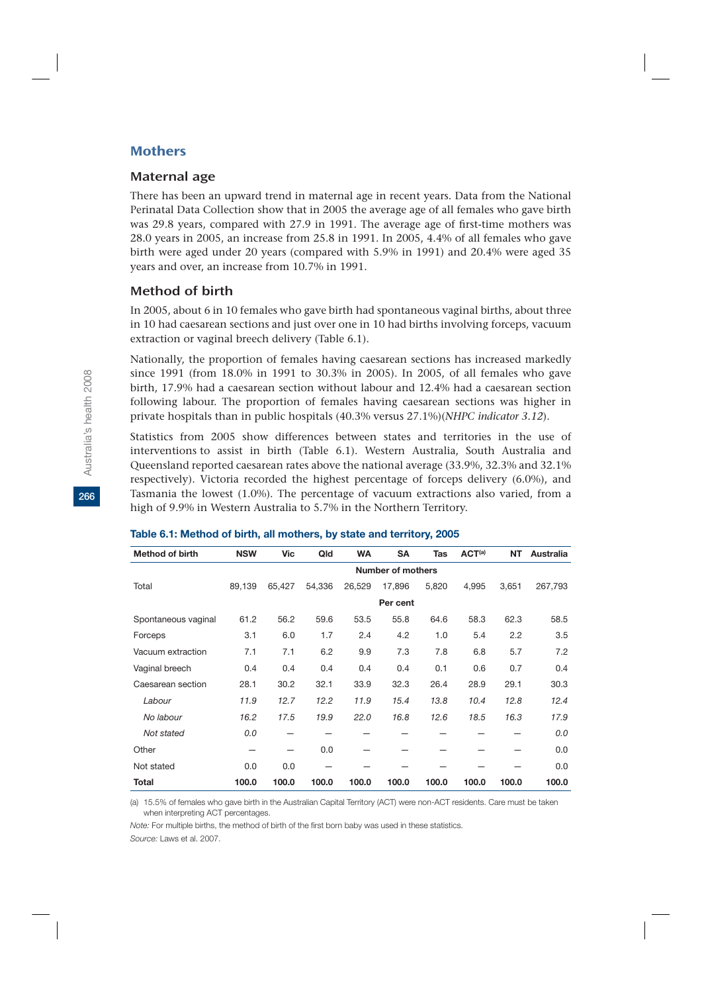### **Mothers**

### Maternal age

There has been an upward trend in maternal age in recent years. Data from the National Perinatal Data Collection show that in 2005 the average age of all females who gave birth was 29.8 years, compared with 27.9 in 1991. The average age of first-time mothers was 28.0 years in 2005, an increase from 25.8 in 1991. In 2005, 4.4% of all females who gave birth were aged under 20 years (compared with 5.9% in 1991) and 20.4% were aged 35 years and over, an increase from 10.7% in 1991.

### Method of birth

In 2005, about 6 in 10 females who gave birth had spontaneous vaginal births, about three in 10 had caesarean sections and just over one in 10 had births involving forceps, vacuum extraction or vaginal breech delivery (Table 6.1).

Nationally, the proportion of females having caesarean sections has increased markedly since 1991 (from 18.0% in 1991 to 30.3% in 2005). In 2005, of all females who gave birth, 17.9% had a caesarean section without labour and 12.4% had a caesarean section following labour. The proportion of females having caesarean sections was higher in private hospitals than in public hospitals (40.3% versus 27.1%)(*NHPC indicator 3.12*).

Statistics from 2005 show differences between states and territories in the use of interventions to assist in birth (Table 6.1). Western Australia, South Australia and Queensland reported caesarean rates above the national average (33.9%, 32.3% and 32.1% respectively). Victoria recorded the highest percentage of forceps delivery (6.0%), and Tasmania the lowest (1.0%). The percentage of vacuum extractions also varied, from a high of 9.9% in Western Australia to 5.7% in the Northern Territory.

| <b>Method of birth</b> | <b>NSW</b>               | <b>Vic</b> | Qld    | <b>WA</b> | <b>SA</b> | <b>Tas</b> | ACT <sup>(a)</sup> | <b>NT</b> | <b>Australia</b> |
|------------------------|--------------------------|------------|--------|-----------|-----------|------------|--------------------|-----------|------------------|
|                        | <b>Number of mothers</b> |            |        |           |           |            |                    |           |                  |
| Total                  | 89,139                   | 65,427     | 54,336 | 26,529    | 17.896    | 5,820      | 4,995              | 3,651     | 267,793          |
|                        |                          |            |        |           | Per cent  |            |                    |           |                  |
| Spontaneous vaginal    | 61.2                     | 56.2       | 59.6   | 53.5      | 55.8      | 64.6       | 58.3               | 62.3      | 58.5             |
| Forceps                | 3.1                      | 6.0        | 1.7    | 2.4       | 4.2       | 1.0        | 5.4                | 2.2       | 3.5              |
| Vacuum extraction      | 7.1                      | 7.1        | 6.2    | 9.9       | 7.3       | 7.8        | 6.8                | 5.7       | 7.2              |
| Vaginal breech         | 0.4                      | 0.4        | 0.4    | 0.4       | 0.4       | 0.1        | 0.6                | 0.7       | 0.4              |
| Caesarean section      | 28.1                     | 30.2       | 32.1   | 33.9      | 32.3      | 26.4       | 28.9               | 29.1      | 30.3             |
| Labour                 | 11.9                     | 12.7       | 12.2   | 11.9      | 15.4      | 13.8       | 10.4               | 12.8      | 12.4             |
| No labour              | 16.2                     | 17.5       | 19.9   | 22.0      | 16.8      | 12.6       | 18.5               | 16.3      | 17.9             |
| Not stated             | 0.0                      |            |        |           |           |            |                    |           | 0.0              |
| Other                  |                          |            | 0.0    |           |           |            |                    |           | 0.0              |
| Not stated             | 0.0                      | 0.0        |        |           |           |            |                    |           | 0.0              |
| <b>Total</b>           | 100.0                    | 100.0      | 100.0  | 100.0     | 100.0     | 100.0      | 100.0              | 100.0     | 100.0            |

#### **Table 6.1: Method of birth, all mothers, by state and territory, 2005**

(a) 15.5% of females who gave birth in the Australian Capital Territory (ACT) were non-ACT residents. Care must be taken when interpreting ACT percentages.

*Note:* For multiple births, the method of birth of the first born baby was used in these statistics. *Source:* Laws et al. 2007.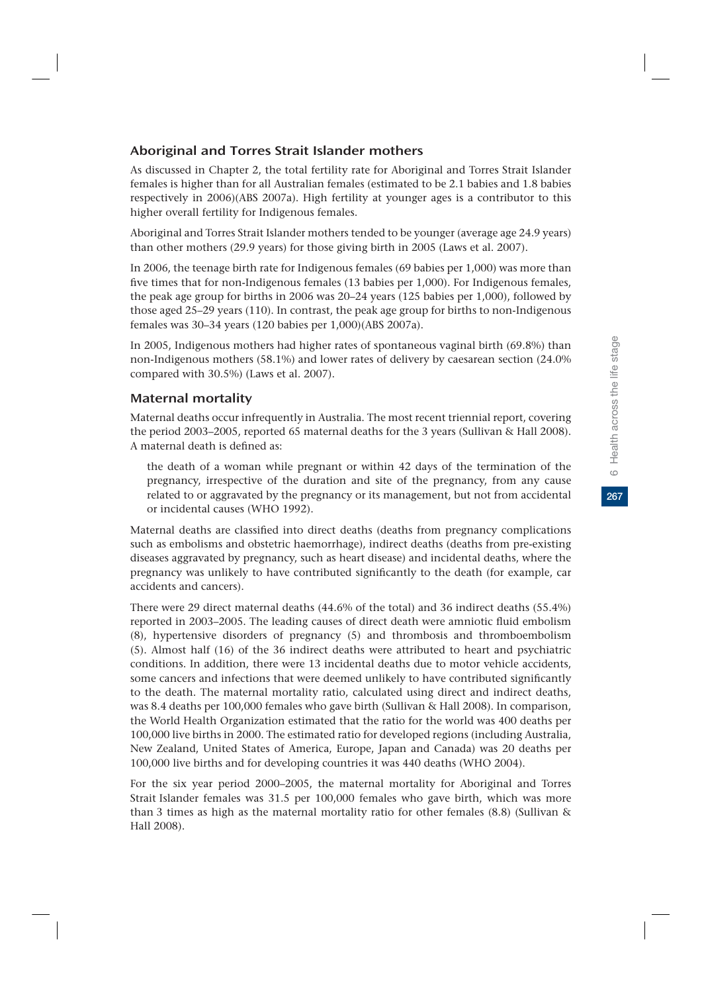267

# Aboriginal and Torres Strait Islander mothers

As discussed in Chapter 2, the total fertility rate for Aboriginal and Torres Strait Islander females is higher than for all Australian females (estimated to be 2.1 babies and 1.8 babies respectively in 2006)(ABS 2007a). High fertility at younger ages is a contributor to this higher overall fertility for Indigenous females.

Aboriginal and Torres Strait Islander mothers tended to be younger (average age 24.9 years) than other mothers (29.9 years) for those giving birth in 2005 (Laws et al. 2007).

In 2006, the teenage birth rate for Indigenous females (69 babies per 1,000) was more than five times that for non-Indigenous females (13 babies per 1,000). For Indigenous females, the peak age group for births in 2006 was 20–24 years (125 babies per 1,000), followed by those aged 25–29 years (110). In contrast, the peak age group for births to non-Indigenous females was 30–34 years (120 babies per 1,000)(ABS 2007a).

In 2005, Indigenous mothers had higher rates of spontaneous vaginal birth (69.8%) than non-Indigenous mothers (58.1%) and lower rates of delivery by caesarean section (24.0% compared with 30.5%) (Laws et al. 2007).

# Maternal mortality

Maternal deaths occur infrequently in Australia. The most recent triennial report, covering the period 2003–2005, reported 65 maternal deaths for the 3 years (Sullivan & Hall 2008). A maternal death is defined as:

the death of a woman while pregnant or within 42 days of the termination of the pregnancy, irrespective of the duration and site of the pregnancy, from any cause related to or aggravated by the pregnancy or its management, but not from accidental or incidental causes (WHO 1992).

Maternal deaths are classified into direct deaths (deaths from pregnancy complications such as embolisms and obstetric haemorrhage), indirect deaths (deaths from pre-existing diseases aggravated by pregnancy, such as heart disease) and incidental deaths, where the pregnancy was unlikely to have contributed significantly to the death (for example, car accidents and cancers).

There were 29 direct maternal deaths (44.6% of the total) and 36 indirect deaths (55.4%) reported in 2003–2005. The leading causes of direct death were amniotic fluid embolism (8), hypertensive disorders of pregnancy (5) and thrombosis and thromboembolism (5). Almost half (16) of the 36 indirect deaths were attributed to heart and psychiatric conditions. In addition, there were 13 incidental deaths due to motor vehicle accidents, some cancers and infections that were deemed unlikely to have contributed significantly to the death. The maternal mortality ratio, calculated using direct and indirect deaths, was 8.4 deaths per 100,000 females who gave birth (Sullivan & Hall 2008). In comparison, the World Health Organization estimated that the ratio for the world was 400 deaths per 100,000 live births in 2000. The estimated ratio for developed regions (including Australia, New Zealand, United States of America, Europe, Japan and Canada) was 20 deaths per 100,000 live births and for developing countries it was 440 deaths (WHO 2004).

For the six year period 2000–2005, the maternal mortality for Aboriginal and Torres Strait Islander females was 31.5 per 100,000 females who gave birth, which was more than 3 times as high as the maternal mortality ratio for other females (8.8) (Sullivan & Hall 2008).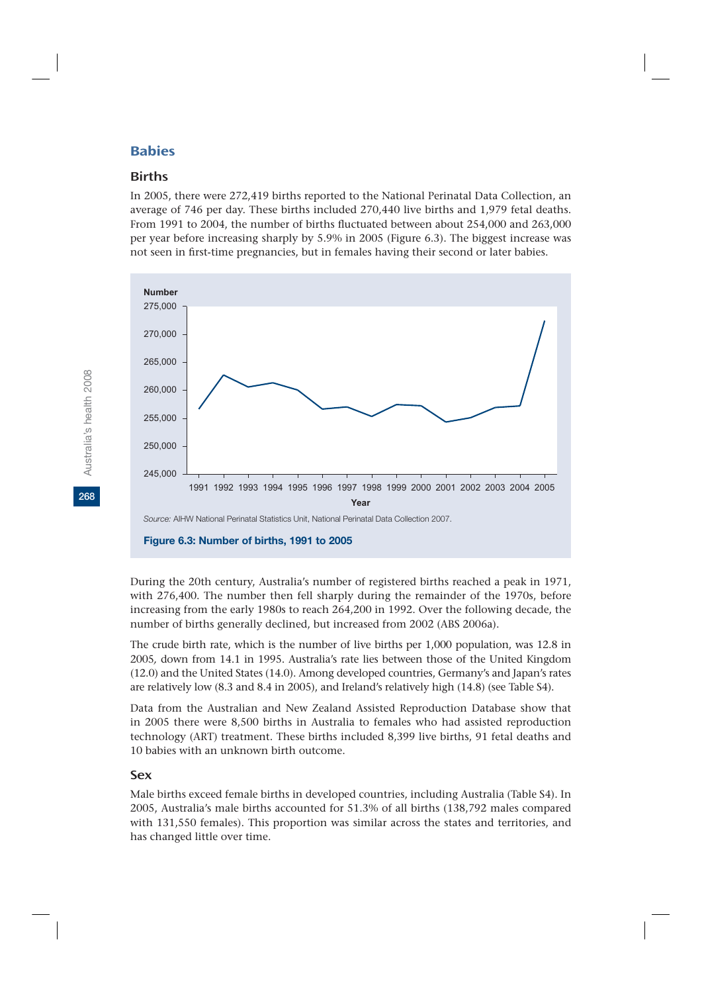# **Rahies**

### **Births**

In 2005, there were 272,419 births reported to the National Perinatal Data Collection, an average of 746 per day. These births included 270,440 live births and 1,979 fetal deaths. From 1991 to 2004, the number of births fluctuated between about 254,000 and 263,000 per year before increasing sharply by 5.9% in 2005 (Figure 6.3). The biggest increase was not seen in first-time pregnancies, but in females having their second or later babies.



#### **Figure 6.3: Number of births, 1991 to 2005**

During the 20th century, Australia's number of registered births reached a peak in 1971, with 276,400. The number then fell sharply during the remainder of the 1970s, before increasing from the early 1980s to reach 264,200 in 1992. Over the following decade, the number of births generally declined, but increased from 2002 (ABS 2006a).

The crude birth rate, which is the number of live births per 1,000 population, was 12.8 in 2005*,* down from 14.1 in 1995. Australia's rate lies between those of the United Kingdom (12.0) and the United States (14.0). Among developed countries, Germany's and Japan's rates are relatively low (8.3 and 8.4 in 2005), and Ireland's relatively high (14.8) (see Table S4).

Data from the Australian and New Zealand Assisted Reproduction Database show that in 2005 there were 8,500 births in Australia to females who had assisted reproduction technology (ART) treatment. These births included 8,399 live births, 91 fetal deaths and 10 babies with an unknown birth outcome.

### Sex

Male births exceed female births in developed countries, including Australia (Table S4). In 2005, Australia's male births accounted for 51.3% of all births (138,792 males compared with 131,550 females). This proportion was similar across the states and territories, and has changed little over time.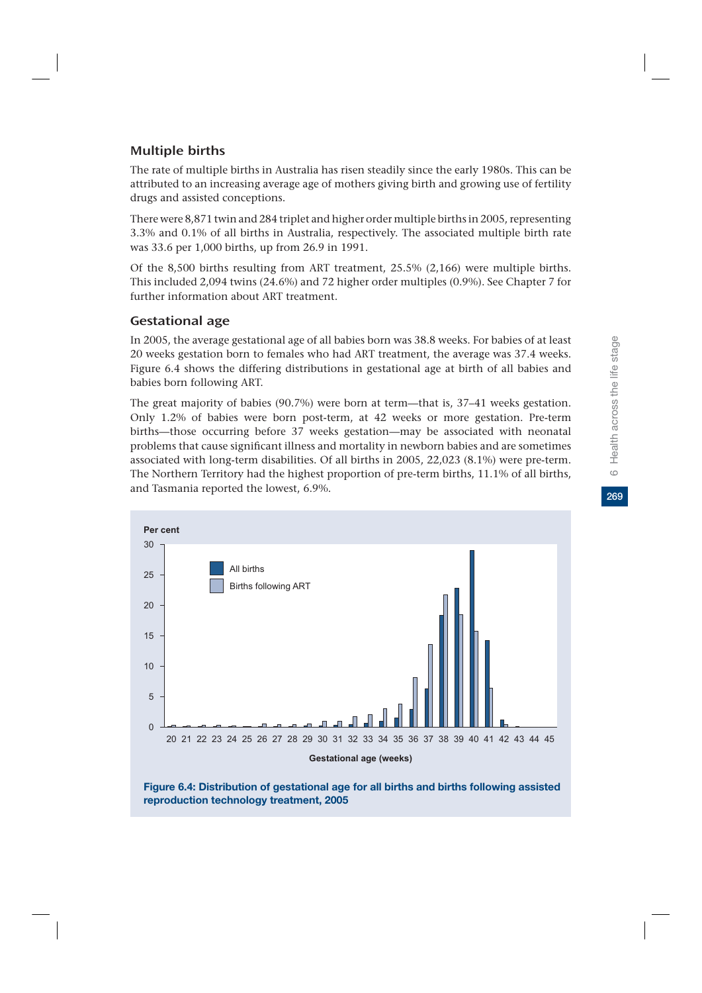269

# Multiple births

The rate of multiple births in Australia has risen steadily since the early 1980s. This can be attributed to an increasing average age of mothers giving birth and growing use of fertility drugs and assisted conceptions.

There were 8,871 twin and 284 triplet and higher order multiple births in 2005, representing 3.3% and 0.1% of all births in Australia, respectively. The associated multiple birth rate was 33.6 per 1,000 births, up from 26.9 in 1991.

Of the 8,500 births resulting from ART treatment, 25.5% (2,166) were multiple births. This included 2,094 twins (24.6%) and 72 higher order multiples (0.9%). See Chapter 7 for further information about ART treatment.

# Gestational age

In 2005, the average gestational age of all babies born was 38.8 weeks. For babies of at least 20 weeks gestation born to females who had ART treatment, the average was 37.4 weeks. Figure 6.4 shows the differing distributions in gestational age at birth of all babies and babies born following ART.

The great majority of babies (90.7%) were born at term—that is, 37–41 weeks gestation. Only 1.2% of babies were born post-term, at 42 weeks or more gestation. Pre-term births—those occurring before 37 weeks gestation—may be associated with neonatal problems that cause significant illness and mortality in newborn babies and are sometimes associated with long-term disabilities. Of all births in 2005, 22,023 (8.1%) were pre-term. The Northern Territory had the highest proportion of pre-term births, 11.1% of all births, and Tasmania reported the lowest, 6.9%.



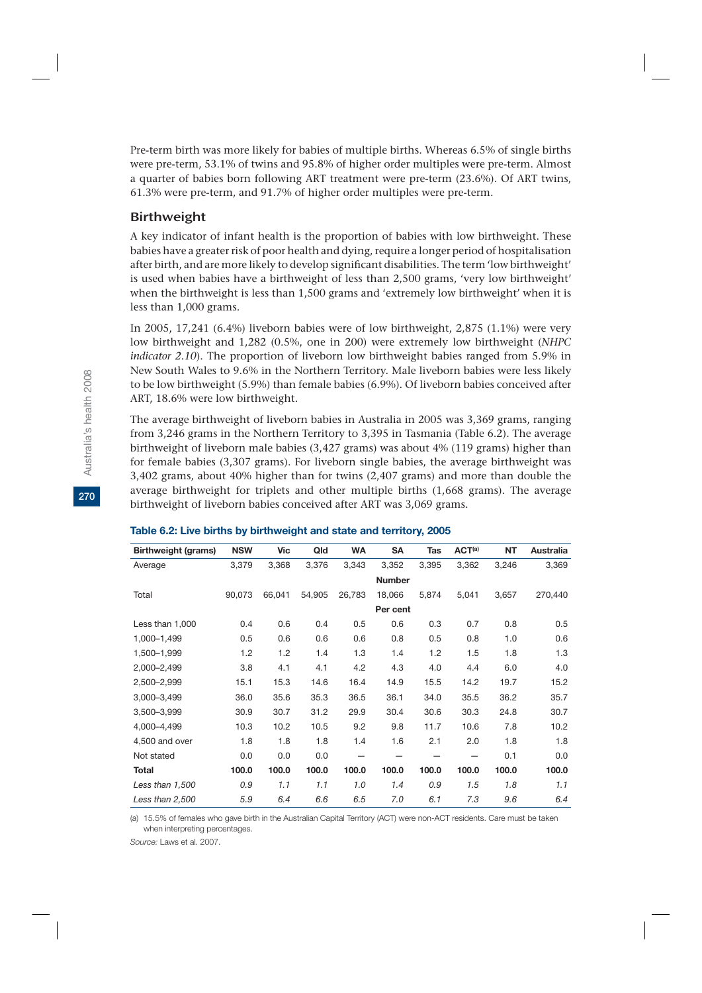Pre-term birth was more likely for babies of multiple births. Whereas 6.5% of single births were pre-term, 53.1% of twins and 95.8% of higher order multiples were pre-term. Almost a quarter of babies born following ART treatment were pre-term (23.6%). Of ART twins, 61.3% were pre-term, and 91.7% of higher order multiples were pre-term.

### Birthweight

A key indicator of infant health is the proportion of babies with low birthweight. These babies have a greater risk of poor health and dying, require a longer period of hospitalisation after birth, and are more likely to develop significant disabilities. The term 'low birthweight' is used when babies have a birthweight of less than 2,500 grams, 'very low birthweight' when the birthweight is less than 1,500 grams and 'extremely low birthweight' when it is less than 1,000 grams.

In 2005, 17,241 (6.4%) liveborn babies were of low birthweight, 2,875 (1.1%) were very low birthweight and 1,282 (0.5%, one in 200) were extremely low birthweight (*NHPC indicator 2.10*). The proportion of liveborn low birthweight babies ranged from 5.9% in New South Wales to 9.6% in the Northern Territory. Male liveborn babies were less likely to be low birthweight (5.9%) than female babies (6.9%). Of liveborn babies conceived after ART, 18.6% were low birthweight.

The average birthweight of liveborn babies in Australia in 2005 was 3,369 grams, ranging from 3,246 grams in the Northern Territory to 3,395 in Tasmania (Table 6.2). The average birthweight of liveborn male babies (3,427 grams) was about 4% (119 grams) higher than for female babies (3,307 grams). For liveborn single babies, the average birthweight was 3,402 grams, about 40% higher than for twins (2,407 grams) and more than double the average birthweight for triplets and other multiple births (1,668 grams). The average birthweight of liveborn babies conceived after ART was 3,069 grams.

| <b>Birthweight (grams)</b> | <b>NSW</b> | Vic    | Qld    | <b>WA</b> | SA            | <b>Tas</b> | ACT <sup>(a)</sup> | <b>NT</b> | <b>Australia</b> |
|----------------------------|------------|--------|--------|-----------|---------------|------------|--------------------|-----------|------------------|
| Average                    | 3,379      | 3,368  | 3,376  | 3,343     | 3,352         | 3,395      | 3,362              | 3,246     | 3,369            |
|                            |            |        |        |           | <b>Number</b> |            |                    |           |                  |
| Total                      | 90,073     | 66,041 | 54,905 | 26,783    | 18,066        | 5,874      | 5,041              | 3,657     | 270,440          |
|                            |            |        |        |           | Per cent      |            |                    |           |                  |
| Less than 1,000            | 0.4        | 0.6    | 0.4    | 0.5       | 0.6           | 0.3        | 0.7                | 0.8       | 0.5              |
| 1,000-1,499                | 0.5        | 0.6    | 0.6    | 0.6       | 0.8           | 0.5        | 0.8                | 1.0       | 0.6              |
| 1,500-1,999                | 1.2        | 1.2    | 1.4    | 1.3       | 1.4           | 1.2        | 1.5                | 1.8       | 1.3              |
| 2,000-2,499                | 3.8        | 4.1    | 4.1    | 4.2       | 4.3           | 4.0        | 4.4                | 6.0       | 4.0              |
| 2,500-2,999                | 15.1       | 15.3   | 14.6   | 16.4      | 14.9          | 15.5       | 14.2               | 19.7      | 15.2             |
| 3,000-3,499                | 36.0       | 35.6   | 35.3   | 36.5      | 36.1          | 34.0       | 35.5               | 36.2      | 35.7             |
| 3,500-3,999                | 30.9       | 30.7   | 31.2   | 29.9      | 30.4          | 30.6       | 30.3               | 24.8      | 30.7             |
| 4,000-4,499                | 10.3       | 10.2   | 10.5   | 9.2       | 9.8           | 11.7       | 10.6               | 7.8       | 10.2             |
| 4,500 and over             | 1.8        | 1.8    | 1.8    | 1.4       | 1.6           | 2.1        | 2.0                | 1.8       | 1.8              |
| Not stated                 | 0.0        | 0.0    | 0.0    |           |               |            |                    | 0.1       | 0.0              |
| <b>Total</b>               | 100.0      | 100.0  | 100.0  | 100.0     | 100.0         | 100.0      | 100.0              | 100.0     | 100.0            |
| Less than 1,500            | 0.9        | 1.1    | 1.1    | 1.0       | 1.4           | 0.9        | 1.5                | 1.8       | 1.1              |
| Less than 2,500            | 5.9        | 6.4    | 6.6    | 6.5       | 7.0           | 6.1        | 7.3                | 9.6       | 6.4              |

#### **Table 6.2: Live births by birthweight and state and territory, 2005**

(a) 15.5% of females who gave birth in the Australian Capital Territory (ACT) were non-ACT residents. Care must be taken when interpreting percentages.

*Source:* Laws et al. 2007.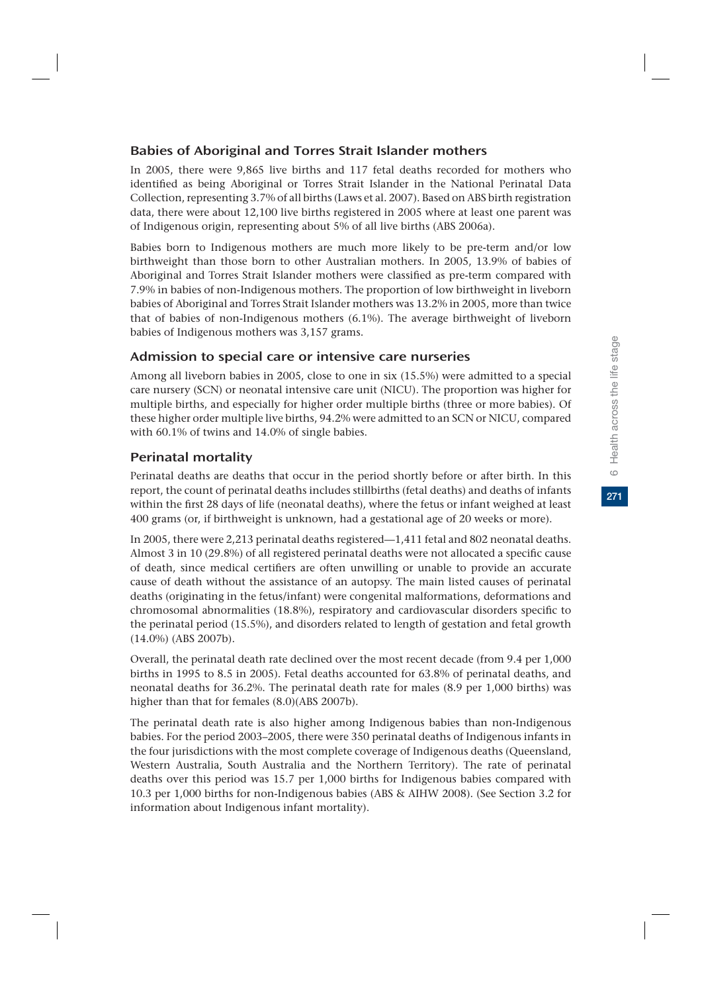# Babies of Aboriginal and Torres Strait Islander mothers

In 2005, there were 9,865 live births and 117 fetal deaths recorded for mothers who identified as being Aboriginal or Torres Strait Islander in the National Perinatal Data Collection, representing 3.7% of all births (Laws et al. 2007). Based on ABS birth registration data, there were about 12,100 live births registered in 2005 where at least one parent was of Indigenous origin, representing about 5% of all live births (ABS 2006a).

Babies born to Indigenous mothers are much more likely to be pre-term and/or low birthweight than those born to other Australian mothers. In 2005, 13.9% of babies of Aboriginal and Torres Strait Islander mothers were classified as pre-term compared with 7.9% in babies of non-Indigenous mothers. The proportion of low birthweight in liveborn babies of Aboriginal and Torres Strait Islander mothers was 13.2% in 2005, more than twice that of babies of non-Indigenous mothers (6.1%). The average birthweight of liveborn babies of Indigenous mothers was 3,157 grams.

# Admission to special care or intensive care nurseries

Among all liveborn babies in 2005, close to one in six (15.5%) were admitted to a special care nursery (SCN) or neonatal intensive care unit (NICU). The proportion was higher for multiple births, and especially for higher order multiple births (three or more babies). Of these higher order multiple live births, 94.2% were admitted to an SCN or NICU, compared with 60.1% of twins and 14.0% of single babies.

# Perinatal mortality

Perinatal deaths are deaths that occur in the period shortly before or after birth. In this report, the count of perinatal deaths includes stillbirths (fetal deaths) and deaths of infants within the first 28 days of life (neonatal deaths), where the fetus or infant weighed at least 400 grams (or, if birthweight is unknown, had a gestational age of 20 weeks or more).

In 2005, there were 2,213 perinatal deaths registered—1,411 fetal and 802 neonatal deaths. Almost 3 in 10 (29.8%) of all registered perinatal deaths were not allocated a specific cause of death, since medical certifiers are often unwilling or unable to provide an accurate cause of death without the assistance of an autopsy. The main listed causes of perinatal deaths (originating in the fetus/infant) were congenital malformations, deformations and chromosomal abnormalities (18.8%), respiratory and cardiovascular disorders specific to the perinatal period (15.5%), and disorders related to length of gestation and fetal growth (14.0%) (ABS 2007b).

Overall, the perinatal death rate declined over the most recent decade (from 9.4 per 1,000 births in 1995 to 8.5 in 2005). Fetal deaths accounted for 63.8% of perinatal deaths, and neonatal deaths for 36.2%. The perinatal death rate for males (8.9 per 1,000 births) was higher than that for females (8.0)(ABS 2007b).

The perinatal death rate is also higher among Indigenous babies than non-Indigenous babies. For the period 2003–2005, there were 350 perinatal deaths of Indigenous infants in the four jurisdictions with the most complete coverage of Indigenous deaths (Queensland, Western Australia, South Australia and the Northern Territory). The rate of perinatal deaths over this period was 15.7 per 1,000 births for Indigenous babies compared with 10.3 per 1,000 births for non-Indigenous babies (ABS & AIHW 2008). (See Section 3.2 for information about Indigenous infant mortality).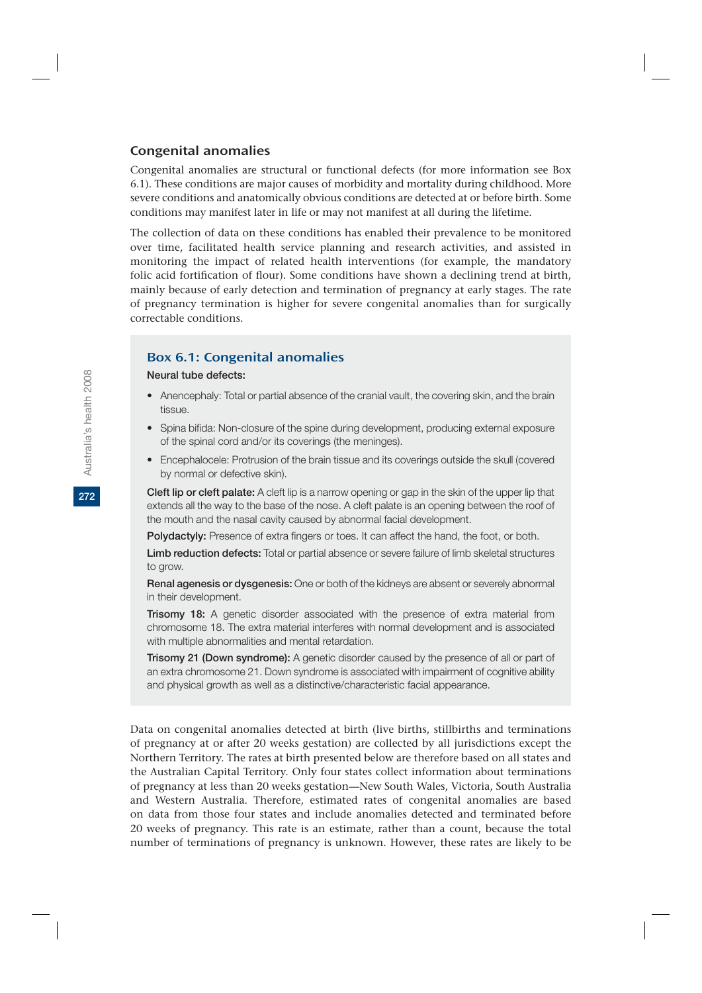### Congenital anomalies

Congenital anomalies are structural or functional defects (for more information see Box 6.1). These conditions are major causes of morbidity and mortality during childhood. More severe conditions and anatomically obvious conditions are detected at or before birth. Some conditions may manifest later in life or may not manifest at all during the lifetime.

The collection of data on these conditions has enabled their prevalence to be monitored over time, facilitated health service planning and research activities, and assisted in monitoring the impact of related health interventions (for example, the mandatory folic acid fortification of flour). Some conditions have shown a declining trend at birth, mainly because of early detection and termination of pregnancy at early stages. The rate of pregnancy termination is higher for severe congenital anomalies than for surgically correctable conditions.

### Box 6.1: Congenital anomalies

#### **Neural tube defects:**

- Anencephaly: Total or partial absence of the cranial vault, the covering skin, and the brain tissue.
- Spina bifida: Non-closure of the spine during development, producing external exposure of the spinal cord and/or its coverings (the meninges).
- Encephalocele: Protrusion of the brain tissue and its coverings outside the skull (covered by normal or defective skin).

**Cleft lip or cleft palate:** A cleft lip is a narrow opening or gap in the skin of the upper lip that extends all the way to the base of the nose. A cleft palate is an opening between the roof of the mouth and the nasal cavity caused by abnormal facial development.

**Polydactyly:** Presence of extra fingers or toes. It can affect the hand, the foot, or both.

**Limb reduction defects:** Total or partial absence or severe failure of limb skeletal structures to grow.

**Renal agenesis or dysgenesis:** One or both of the kidneys are absent or severely abnormal in their development.

**Trisomy 18:** A genetic disorder associated with the presence of extra material from chromosome 18. The extra material interferes with normal development and is associated with multiple abnormalities and mental retardation.

**Trisomy 21 (Down syndrome):** A genetic disorder caused by the presence of all or part of an extra chromosome 21. Down syndrome is associated with impairment of cognitive ability and physical growth as well as a distinctive/characteristic facial appearance.

Data on congenital anomalies detected at birth (live births, stillbirths and terminations of pregnancy at or after 20 weeks gestation) are collected by all jurisdictions except the Northern Territory. The rates at birth presented below are therefore based on all states and the Australian Capital Territory. Only four states collect information about terminations of pregnancy at less than 20 weeks gestation—New South Wales, Victoria, South Australia and Western Australia. Therefore, estimated rates of congenital anomalies are based on data from those four states and include anomalies detected and terminated before 20 weeks of pregnancy. This rate is an estimate, rather than a count, because the total number of terminations of pregnancy is unknown. However, these rates are likely to be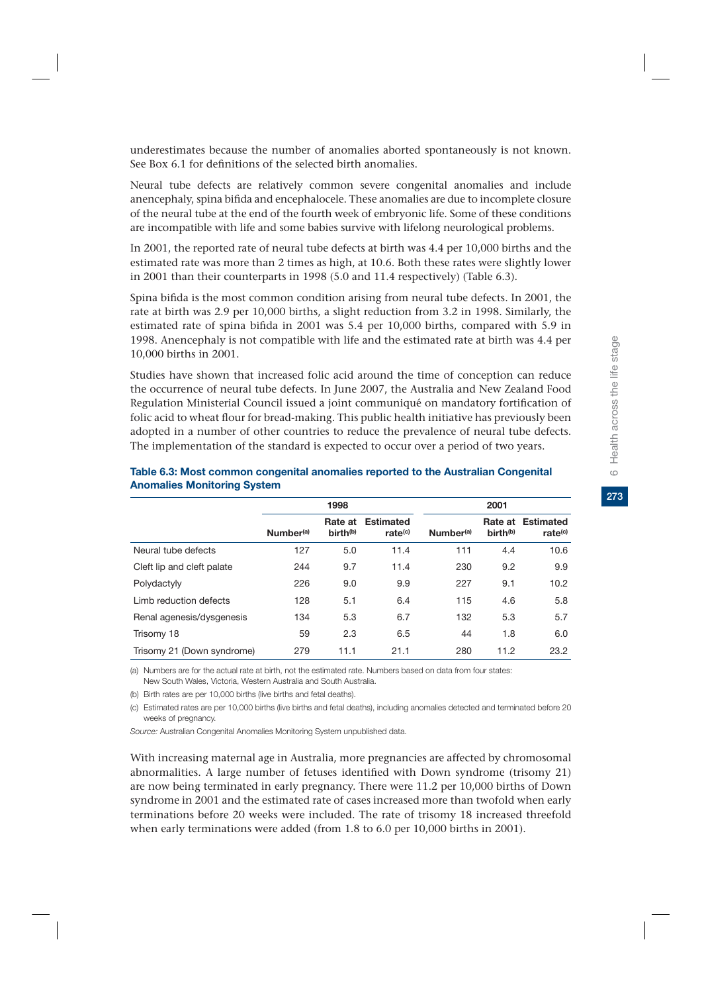underestimates because the number of anomalies aborted spontaneously is not known. See Box 6.1 for definitions of the selected birth anomalies.

Neural tube defects are relatively common severe congenital anomalies and include anencephaly, spina bifida and encephalocele. These anomalies are due to incomplete closure of the neural tube at the end of the fourth week of embryonic life. Some of these conditions are incompatible with life and some babies survive with lifelong neurological problems.

In 2001, the reported rate of neural tube defects at birth was 4.4 per 10,000 births and the estimated rate was more than 2 times as high, at 10.6. Both these rates were slightly lower in 2001 than their counterparts in 1998 (5.0 and 11.4 respectively) (Table 6.3).

Spina bifida is the most common condition arising from neural tube defects. In 2001, the rate at birth was 2.9 per 10,000 births, a slight reduction from 3.2 in 1998. Similarly, the estimated rate of spina bifida in 2001 was 5.4 per 10,000 births, compared with 5.9 in 1998. Anencephaly is not compatible with life and the estimated rate at birth was 4.4 per 10,000 births in 2001.

Studies have shown that increased folic acid around the time of conception can reduce the occurrence of neural tube defects. In June 2007, the Australia and New Zealand Food Regulation Ministerial Council issued a joint communiqué on mandatory fortification of folic acid to wheat flour for bread-making. This public health initiative has previously been adopted in a number of other countries to reduce the prevalence of neural tube defects. The implementation of the standard is expected to occur over a period of two years.

|                            | 1998                  |                                 |                                         | 2001                  |                                 |                                         |  |
|----------------------------|-----------------------|---------------------------------|-----------------------------------------|-----------------------|---------------------------------|-----------------------------------------|--|
|                            | Number <sup>(a)</sup> | Rate at<br>birth <sup>(b)</sup> | <b>Estimated</b><br>rate <sup>(c)</sup> | Number <sup>(a)</sup> | Rate at<br>birth <sup>(b)</sup> | <b>Estimated</b><br>rate <sup>(c)</sup> |  |
| Neural tube defects        | 127                   | 5.0                             | 11.4                                    | 111                   | 4.4                             | 10.6                                    |  |
| Cleft lip and cleft palate | 244                   | 9.7                             | 11.4                                    | 230                   | 9.2                             | 9.9                                     |  |
| Polydactyly                | 226                   | 9.0                             | 9.9                                     | 227                   | 9.1                             | 10.2                                    |  |
| Limb reduction defects     | 128                   | 5.1                             | 6.4                                     | 115                   | 4.6                             | 5.8                                     |  |
| Renal agenesis/dysgenesis  | 134                   | 5.3                             | 6.7                                     | 132                   | 5.3                             | 5.7                                     |  |
| Trisomy 18                 | 59                    | 2.3                             | 6.5                                     | 44                    | 1.8                             | 6.0                                     |  |
| Trisomy 21 (Down syndrome) | 279                   | 11.1                            | 21.1                                    | 280                   | 11.2                            | 23.2                                    |  |

#### **Table 6.3: Most common congenital anomalies reported to the Australian Congenital Anomalies Monitoring System**

(a) Numbers are for the actual rate at birth, not the estimated rate. Numbers based on data from four states: New South Wales, Victoria, Western Australia and South Australia.

(b) Birth rates are per 10,000 births (live births and fetal deaths).

(c) Estimated rates are per 10,000 births (live births and fetal deaths), including anomalies detected and terminated before 20 weeks of pregnancy.

*Source:* Australian Congenital Anomalies Monitoring System unpublished data.

With increasing maternal age in Australia, more pregnancies are affected by chromosomal abnormalities. A large number of fetuses identified with Down syndrome (trisomy 21) are now being terminated in early pregnancy. There were 11.2 per 10,000 births of Down syndrome in 2001 and the estimated rate of cases increased more than twofold when early terminations before 20 weeks were included. The rate of trisomy 18 increased threefold when early terminations were added (from 1.8 to 6.0 per 10,000 births in 2001).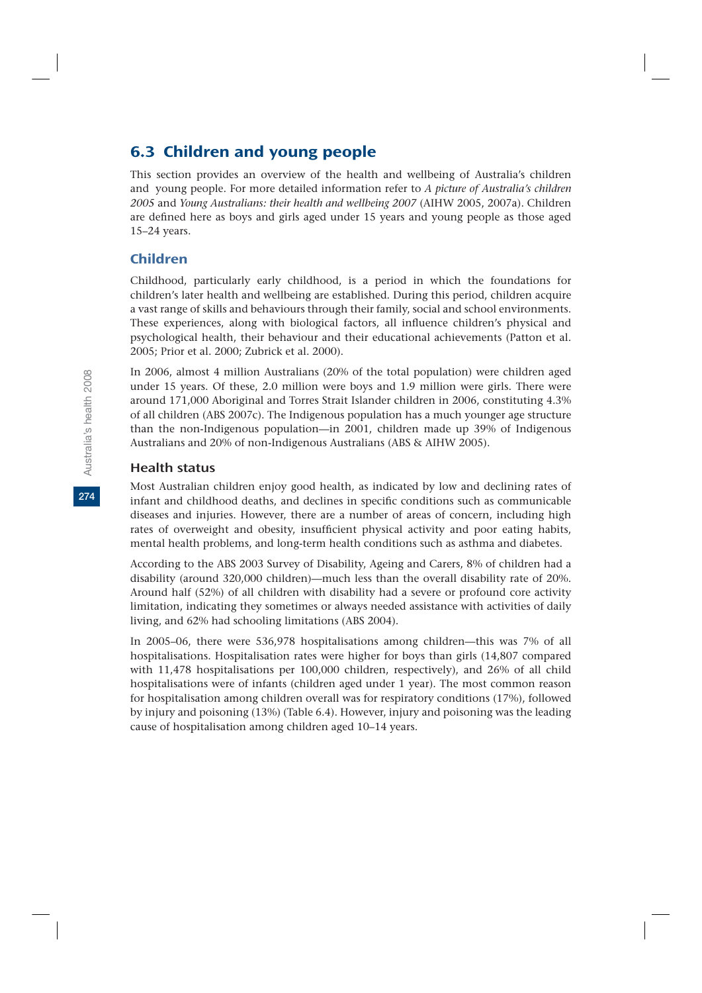# 6.3 Children and young people

This section provides an overview of the health and wellbeing of Australia's children and young people. For more detailed information refer to *A picture of Australia's children 2005* and *Young Australians: their health and wellbeing 2007* (AIHW 2005, 2007a). Children are defined here as boys and girls aged under 15 years and young people as those aged 15–24 years.

### Children

Childhood, particularly early childhood, is a period in which the foundations for children's later health and wellbeing are established. During this period, children acquire a vast range of skills and behaviours through their family, social and school environments. These experiences, along with biological factors, all influence children's physical and psychological health, their behaviour and their educational achievements (Patton et al. 2005; Prior et al. 2000; Zubrick et al. 2000).

In 2006, almost 4 million Australians (20% of the total population) were children aged under 15 years. Of these, 2.0 million were boys and 1.9 million were girls. There were around 171,000 Aboriginal and Torres Strait Islander children in 2006, constituting 4.3% of all children (ABS 2007c). The Indigenous population has a much younger age structure than the non-Indigenous population—in 2001, children made up 39% of Indigenous Australians and 20% of non-Indigenous Australians (ABS & AIHW 2005).

#### Health status

Most Australian children enjoy good health, as indicated by low and declining rates of infant and childhood deaths, and declines in specific conditions such as communicable diseases and injuries. However, there are a number of areas of concern, including high rates of overweight and obesity, insufficient physical activity and poor eating habits, mental health problems, and long-term health conditions such as asthma and diabetes.

According to the ABS 2003 Survey of Disability, Ageing and Carers, 8% of children had a disability (around 320,000 children)—much less than the overall disability rate of 20%. Around half (52%) of all children with disability had a severe or profound core activity limitation, indicating they sometimes or always needed assistance with activities of daily living, and 62% had schooling limitations (ABS 2004).

In 2005–06, there were 536,978 hospitalisations among children—this was 7% of all hospitalisations. Hospitalisation rates were higher for boys than girls (14,807 compared with 11,478 hospitalisations per 100,000 children, respectively), and 26% of all child hospitalisations were of infants (children aged under 1 year). The most common reason for hospitalisation among children overall was for respiratory conditions (17%), followed by injury and poisoning (13%) (Table 6.4). However, injury and poisoning was the leading cause of hospitalisation among children aged 10–14 years.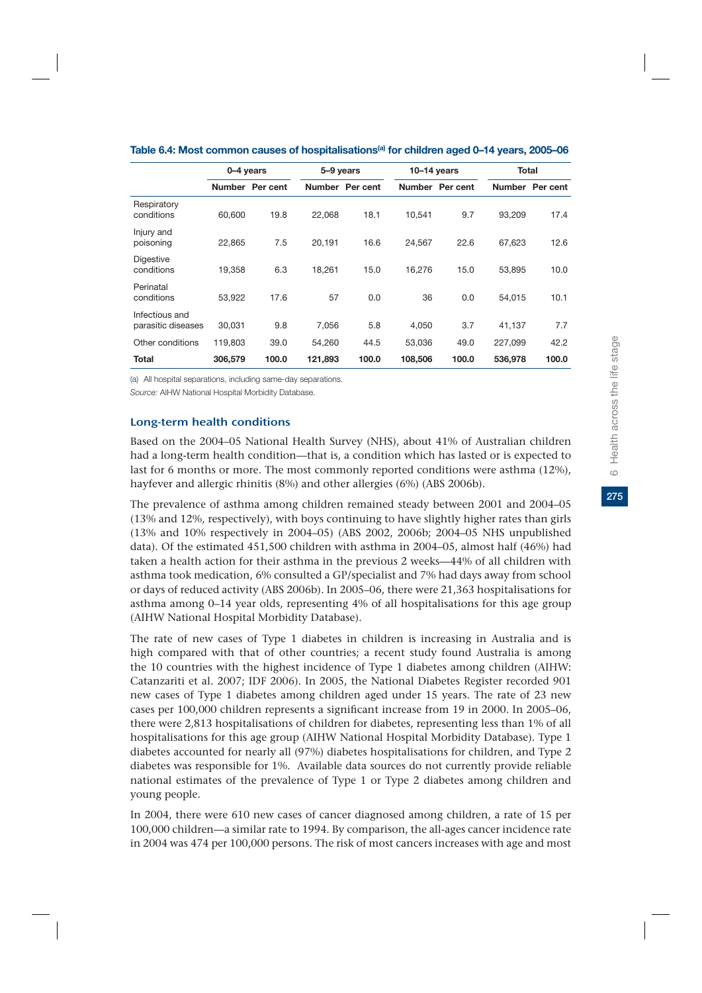|                                      | 0-4 years |                 | 5-9 years |                 | $10-14$ years |                 | <b>Total</b> |                 |
|--------------------------------------|-----------|-----------------|-----------|-----------------|---------------|-----------------|--------------|-----------------|
|                                      |           | Number Per cent |           | Number Per cent |               | Number Per cent |              | Number Per cent |
| Respiratory<br>conditions            | 60.600    | 19.8            | 22.068    | 18.1            | 10.541        | 9.7             | 93.209       | 17.4            |
| Injury and<br>poisoning              | 22.865    | 7.5             | 20.191    | 16.6            | 24.567        | 22.6            | 67.623       | 12.6            |
| <b>Digestive</b><br>conditions       | 19,358    | 6.3             | 18,261    | 15.0            | 16,276        | 15.0            | 53,895       | 10.0            |
| Perinatal<br>conditions              | 53,922    | 17.6            | 57        | 0.0             | 36            | 0.0             | 54,015       | 10.1            |
| Infectious and<br>parasitic diseases | 30,031    | 9.8             | 7.056     | 5.8             | 4.050         | 3.7             | 41,137       | 7.7             |
| Other conditions                     | 119,803   | 39.0            | 54.260    | 44.5            | 53.036        | 49.0            | 227.099      | 42.2            |
| <b>Total</b>                         | 306,579   | 100.0           | 121,893   | 100.0           | 108,506       | 100.0           | 536,978      | 100.0           |

| Table 6.4: Most common causes of hospitalisations <sup>(a)</sup> for children aged 0–14 years, 2005–06 |
|--------------------------------------------------------------------------------------------------------|
|--------------------------------------------------------------------------------------------------------|

(a) All hospital separations, including same-day separations.

*Source:* AIHW National Hospital Morbidity Database.

#### Long-term health conditions

Based on the 2004–05 National Health Survey (NHS), about 41% of Australian children had a long-term health condition—that is, a condition which has lasted or is expected to last for 6 months or more. The most commonly reported conditions were asthma (12%), hayfever and allergic rhinitis (8%) and other allergies (6%) (ABS 2006b).

The prevalence of asthma among children remained steady between 2001 and 2004–05 (13% and 12%, respectively), with boys continuing to have slightly higher rates than girls (13% and 10% respectively in 2004–05) (ABS 2002, 2006b; 2004–05 NHS unpublished data). Of the estimated 451,500 children with asthma in 2004–05, almost half (46%) had taken a health action for their asthma in the previous 2 weeks—44% of all children with asthma took medication, 6% consulted a GP/specialist and 7% had days away from school or days of reduced activity (ABS 2006b). In 2005–06, there were 21,363 hospitalisations for asthma among 0–14 year olds, representing 4% of all hospitalisations for this age group (AIHW National Hospital Morbidity Database).

The rate of new cases of Type 1 diabetes in children is increasing in Australia and is high compared with that of other countries; a recent study found Australia is among the 10 countries with the highest incidence of Type 1 diabetes among children (AIHW: Catanzariti et al. 2007; IDF 2006). In 2005, the National Diabetes Register recorded 901 new cases of Type 1 diabetes among children aged under 15 years. The rate of 23 new cases per 100,000 children represents a significant increase from 19 in 2000. In 2005–06, there were 2,813 hospitalisations of children for diabetes, representing less than 1% of all hospitalisations for this age group (AIHW National Hospital Morbidity Database). Type 1 diabetes accounted for nearly all (97%) diabetes hospitalisations for children, and Type 2 diabetes was responsible for 1%. Available data sources do not currently provide reliable national estimates of the prevalence of Type 1 or Type 2 diabetes among children and young people.

In 2004, there were 610 new cases of cancer diagnosed among children, a rate of 15 per 100,000 children—a similar rate to 1994. By comparison, the all-ages cancer incidence rate in 2004 was 474 per 100,000 persons. The risk of most cancers increases with age and most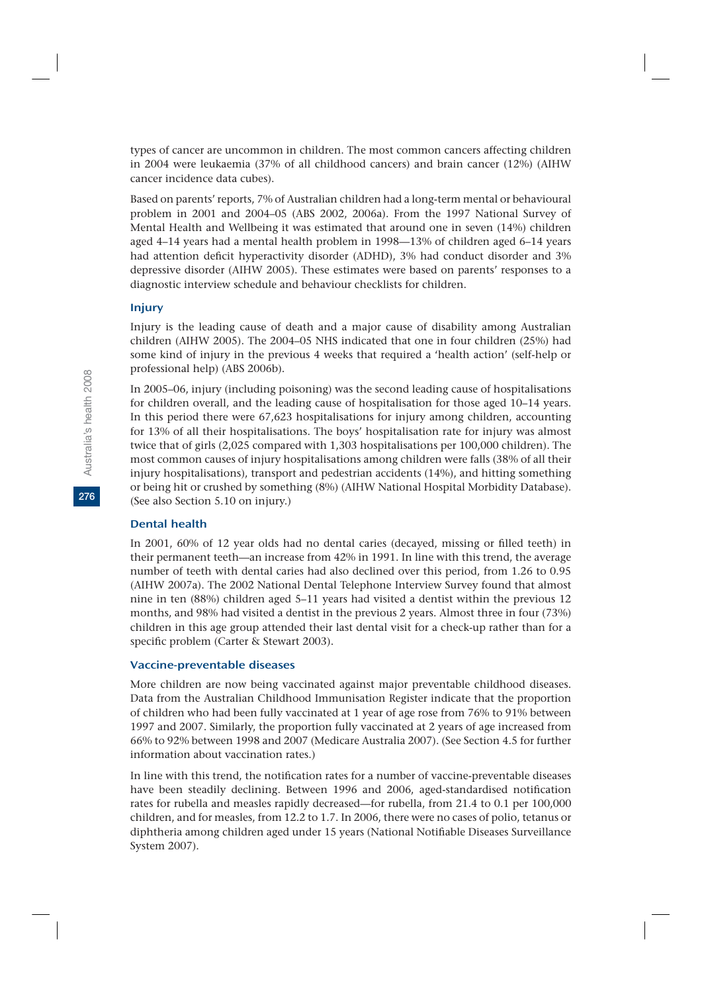types of cancer are uncommon in children. The most common cancers affecting children in 2004 were leukaemia (37% of all childhood cancers) and brain cancer (12%) (AIHW cancer incidence data cubes).

Based on parents' reports, 7% of Australian children had a long-term mental or behavioural problem in 2001 and 2004–05 (ABS 2002, 2006a). From the 1997 National Survey of Mental Health and Wellbeing it was estimated that around one in seven (14%) children aged 4–14 years had a mental health problem in 1998—13% of children aged 6–14 years had attention deficit hyperactivity disorder (ADHD), 3% had conduct disorder and 3% depressive disorder (AIHW 2005). These estimates were based on parents' responses to a diagnostic interview schedule and behaviour checklists for children.

#### Injury

Injury is the leading cause of death and a major cause of disability among Australian children (AIHW 2005). The 2004–05 NHS indicated that one in four children (25%) had some kind of injury in the previous 4 weeks that required a 'health action' (self-help or professional help) (ABS 2006b).

In 2005–06, injury (including poisoning) was the second leading cause of hospitalisations for children overall, and the leading cause of hospitalisation for those aged 10–14 years. In this period there were 67,623 hospitalisations for injury among children, accounting for 13% of all their hospitalisations. The boys' hospitalisation rate for injury was almost twice that of girls (2,025 compared with 1,303 hospitalisations per 100,000 children). The most common causes of injury hospitalisations among children were falls (38% of all their injury hospitalisations), transport and pedestrian accidents (14%), and hitting something or being hit or crushed by something (8%) (AIHW National Hospital Morbidity Database). (See also Section 5.10 on injury.)

#### Dental health

In 2001, 60% of 12 year olds had no dental caries (decayed, missing or filled teeth) in their permanent teeth—an increase from 42% in 1991. In line with this trend, the average number of teeth with dental caries had also declined over this period, from 1.26 to 0.95 (AIHW 2007a). The 2002 National Dental Telephone Interview Survey found that almost nine in ten (88%) children aged 5–11 years had visited a dentist within the previous 12 months, and 98% had visited a dentist in the previous 2 years. Almost three in four (73%) children in this age group attended their last dental visit for a check-up rather than for a specific problem (Carter & Stewart 2003).

#### Vaccine-preventable diseases

More children are now being vaccinated against major preventable childhood diseases. Data from the Australian Childhood Immunisation Register indicate that the proportion of children who had been fully vaccinated at 1 year of age rose from 76% to 91% between 1997 and 2007. Similarly, the proportion fully vaccinated at 2 years of age increased from 66% to 92% between 1998 and 2007 (Medicare Australia 2007). (See Section 4.5 for further information about vaccination rates.)

In line with this trend, the notification rates for a number of vaccine-preventable diseases have been steadily declining. Between 1996 and 2006, aged-standardised notification rates for rubella and measles rapidly decreased—for rubella, from 21.4 to 0.1 per 100,000 children, and for measles, from 12.2 to 1.7. In 2006, there were no cases of polio, tetanus or diphtheria among children aged under 15 years (National Notifiable Diseases Surveillance System 2007).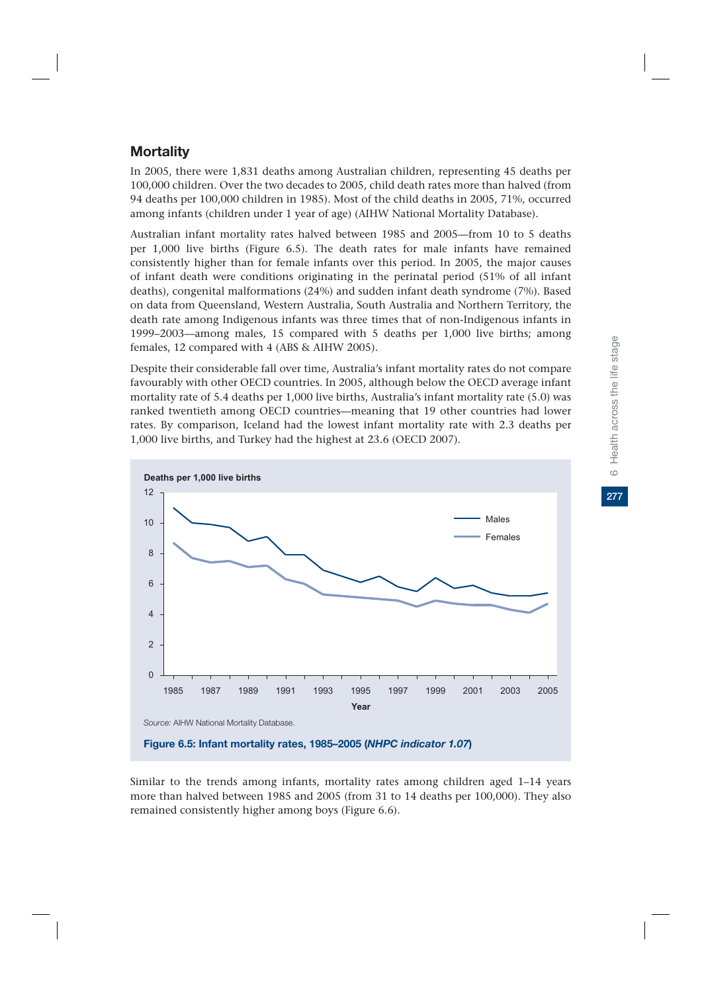277

# **Mortality**

In 2005, there were 1,831 deaths among Australian children, representing 45 deaths per 100,000 children. Over the two decades to 2005, child death rates more than halved (from 94 deaths per 100,000 children in 1985). Most of the child deaths in 2005, 71%, occurred among infants (children under 1 year of age) (AIHW National Mortality Database).

Australian infant mortality rates halved between 1985 and 2005—from 10 to 5 deaths per 1,000 live births (Figure 6.5). The death rates for male infants have remained consistently higher than for female infants over this period. In 2005, the major causes of infant death were conditions originating in the perinatal period (51% of all infant deaths), congenital malformations (24%) and sudden infant death syndrome (7%). Based on data from Queensland, Western Australia, South Australia and Northern Territory, the death rate among Indigenous infants was three times that of non-Indigenous infants in 1999–2003—among males, 15 compared with 5 deaths per 1,000 live births; among females, 12 compared with 4 (ABS & AIHW 2005).

Despite their considerable fall over time, Australia's infant mortality rates do not compare favourably with other OECD countries. In 2005, although below the OECD average infant mortality rate of 5.4 deaths per 1,000 live births, Australia's infant mortality rate (5.0) was ranked twentieth among OECD countries—meaning that 19 other countries had lower rates. By comparison, Iceland had the lowest infant mortality rate with 2.3 deaths per 1,000 live births, and Turkey had the highest at 23.6 (OECD 2007).



Similar to the trends among infants, mortality rates among children aged 1–14 years more than halved between 1985 and 2005 (from 31 to 14 deaths per 100,000). They also remained consistently higher among boys (Figure 6.6).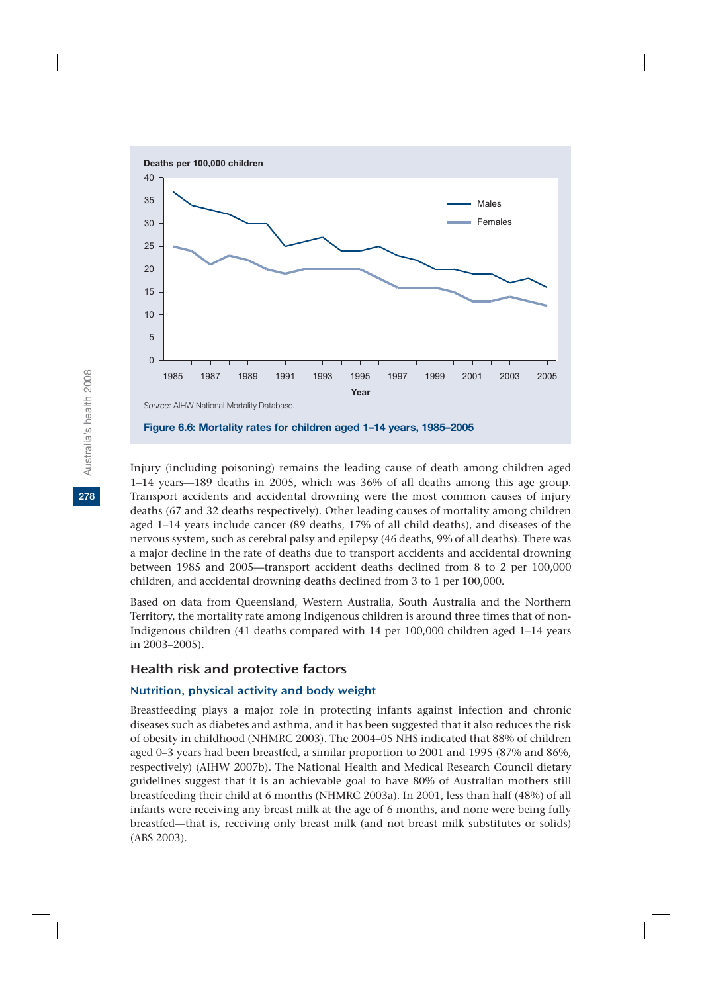

Injury (including poisoning) remains the leading cause of death among children aged 1–14 years—189 deaths in 2005, which was 36% of all deaths among this age group. Transport accidents and accidental drowning were the most common causes of injury deaths (67 and 32 deaths respectively). Other leading causes of mortality among children aged 1–14 years include cancer (89 deaths, 17% of all child deaths), and diseases of the nervous system, such as cerebral palsy and epilepsy (46 deaths, 9% of all deaths). There was a major decline in the rate of deaths due to transport accidents and accidental drowning between 1985 and 2005—transport accident deaths declined from 8 to 2 per 100,000 children, and accidental drowning deaths declined from 3 to 1 per 100,000.

Based on data from Queensland, Western Australia, South Australia and the Northern Territory, the mortality rate among Indigenous children is around three times that of non-Indigenous children (41 deaths compared with 14 per 100,000 children aged 1–14 years in 2003–2005).

#### Health risk and protective factors

#### Nutrition, physical activity and body weight

Breastfeeding plays a major role in protecting infants against infection and chronic diseases such as diabetes and asthma, and it has been suggested that it also reduces the risk of obesity in childhood (NHMRC 2003). The 2004–05 NHS indicated that 88% of children aged 0–3 years had been breastfed, a similar proportion to 2001 and 1995 (87% and 86%, respectively) (AIHW 2007b). The National Health and Medical Research Council dietary guidelines suggest that it is an achievable goal to have 80% of Australian mothers still breastfeeding their child at 6 months (NHMRC 2003a). In 2001, less than half (48%) of all infants were receiving any breast milk at the age of 6 months, and none were being fully breastfed—that is, receiving only breast milk (and not breast milk substitutes or solids) (ABS 2003).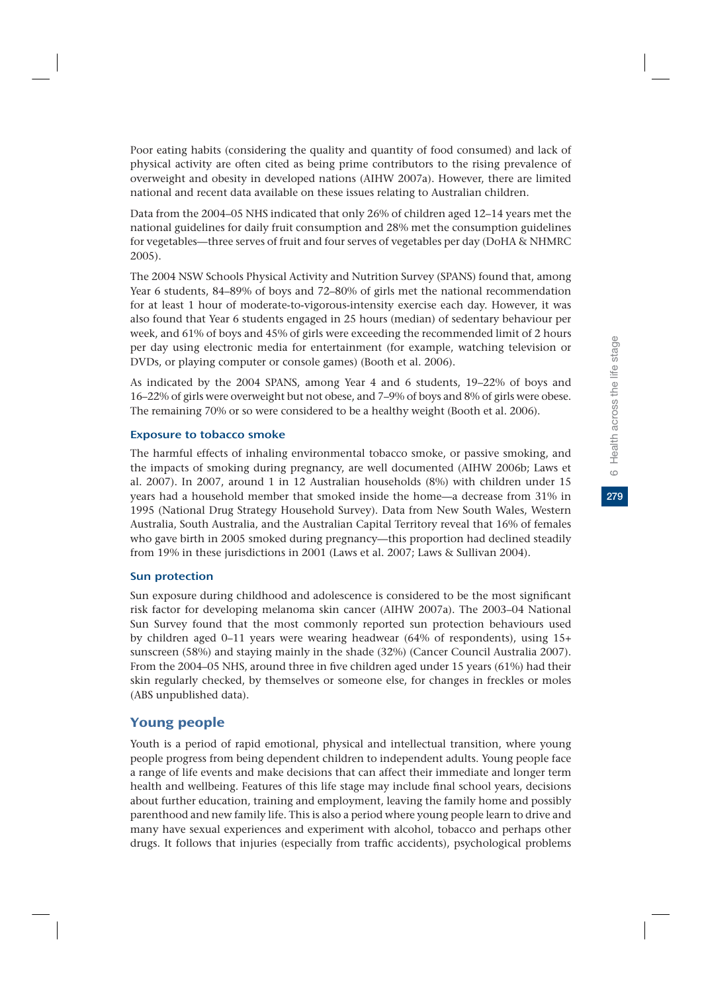Poor eating habits (considering the quality and quantity of food consumed) and lack of physical activity are often cited as being prime contributors to the rising prevalence of overweight and obesity in developed nations (AIHW 2007a). However, there are limited national and recent data available on these issues relating to Australian children.

Data from the 2004–05 NHS indicated that only 26% of children aged 12–14 years met the national guidelines for daily fruit consumption and 28% met the consumption guidelines for vegetables—three serves of fruit and four serves of vegetables per day (DoHA & NHMRC 2005).

The 2004 NSW Schools Physical Activity and Nutrition Survey (SPANS) found that, among Year 6 students, 84–89% of boys and 72–80% of girls met the national recommendation for at least 1 hour of moderate-to-vigorous-intensity exercise each day. However, it was also found that Year 6 students engaged in 25 hours (median) of sedentary behaviour per week, and 61% of boys and 45% of girls were exceeding the recommended limit of 2 hours per day using electronic media for entertainment (for example, watching television or DVDs, or playing computer or console games) (Booth et al. 2006).

As indicated by the 2004 SPANS, among Year 4 and 6 students, 19–22% of boys and 16–22% of girls were overweight but not obese, and 7–9% of boys and 8% of girls were obese. The remaining 70% or so were considered to be a healthy weight (Booth et al. 2006).

### Exposure to tobacco smoke

The harmful effects of inhaling environmental tobacco smoke, or passive smoking, and the impacts of smoking during pregnancy, are well documented (AIHW 2006b; Laws et al. 2007). In 2007, around 1 in 12 Australian households (8%) with children under 15 years had a household member that smoked inside the home—a decrease from 31% in 1995 (National Drug Strategy Household Survey). Data from New South Wales, Western Australia, South Australia, and the Australian Capital Territory reveal that 16% of females who gave birth in 2005 smoked during pregnancy—this proportion had declined steadily from 19% in these jurisdictions in 2001 (Laws et al. 2007; Laws & Sullivan 2004).

### Sun protection

Sun exposure during childhood and adolescence is considered to be the most significant risk factor for developing melanoma skin cancer (AIHW 2007a). The 2003–04 National Sun Survey found that the most commonly reported sun protection behaviours used by children aged 0–11 years were wearing headwear (64% of respondents), using 15+ sunscreen (58%) and staying mainly in the shade (32%) (Cancer Council Australia 2007). From the 2004–05 NHS, around three in five children aged under 15 years (61%) had their skin regularly checked, by themselves or someone else, for changes in freckles or moles (ABS unpublished data).

# Young people

Youth is a period of rapid emotional, physical and intellectual transition, where young people progress from being dependent children to independent adults. Young people face a range of life events and make decisions that can affect their immediate and longer term health and wellbeing. Features of this life stage may include final school years, decisions about further education, training and employment, leaving the family home and possibly parenthood and new family life. This is also a period where young people learn to drive and many have sexual experiences and experiment with alcohol, tobacco and perhaps other drugs. It follows that injuries (especially from traffic accidents), psychological problems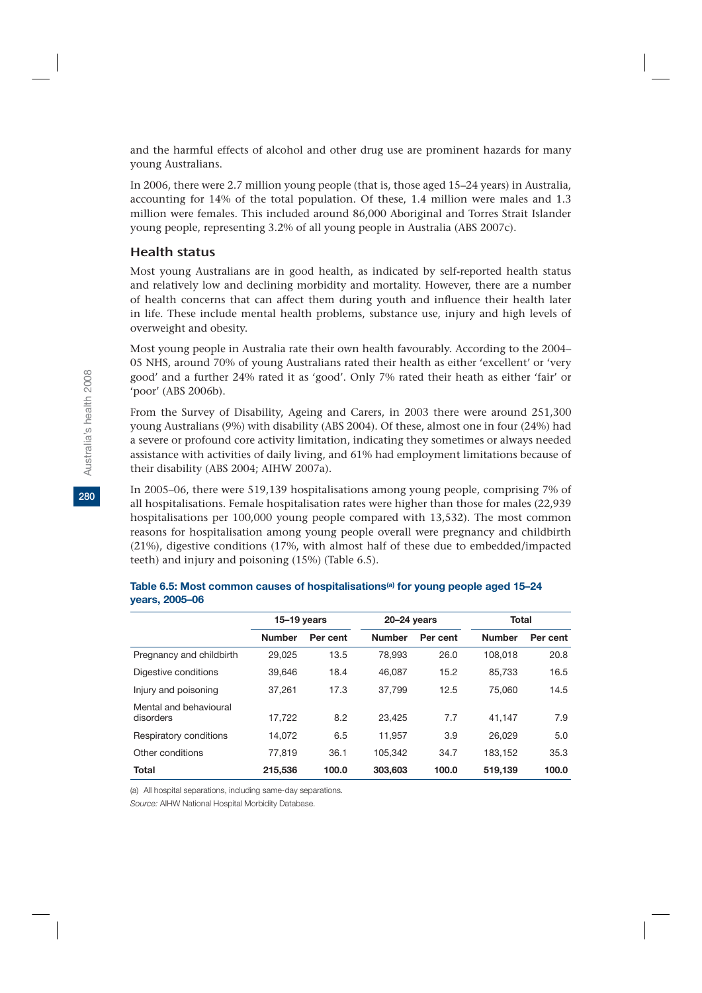and the harmful effects of alcohol and other drug use are prominent hazards for many young Australians.

In 2006, there were 2.7 million young people (that is, those aged 15–24 years) in Australia, accounting for 14% of the total population. Of these, 1.4 million were males and 1.3 million were females. This included around 86,000 Aboriginal and Torres Strait Islander young people, representing 3.2% of all young people in Australia (ABS 2007c).

### Health status

Most young Australians are in good health, as indicated by self-reported health status and relatively low and declining morbidity and mortality. However, there are a number of health concerns that can affect them during youth and influence their health later in life. These include mental health problems, substance use, injury and high levels of overweight and obesity.

Most young people in Australia rate their own health favourably. According to the 2004– 05 NHS, around 70% of young Australians rated their health as either 'excellent' or 'very good' and a further 24% rated it as 'good'. Only 7% rated their heath as either 'fair' or 'poor' (ABS 2006b).

From the Survey of Disability, Ageing and Carers, in 2003 there were around 251,300 young Australians (9%) with disability (ABS 2004). Of these, almost one in four (24%) had a severe or profound core activity limitation, indicating they sometimes or always needed assistance with activities of daily living, and 61% had employment limitations because of their disability (ABS 2004; AIHW 2007a).

In 2005–06, there were 519,139 hospitalisations among young people, comprising 7% of all hospitalisations. Female hospitalisation rates were higher than those for males (22,939 hospitalisations per 100,000 young people compared with 13,532). The most common reasons for hospitalisation among young people overall were pregnancy and childbirth (21%), digestive conditions (17%, with almost half of these due to embedded/impacted teeth) and injury and poisoning (15%) (Table 6.5).

|                                     | $15-19$ years |          | $20 - 24$ years |          | Total         |          |
|-------------------------------------|---------------|----------|-----------------|----------|---------------|----------|
|                                     | <b>Number</b> | Per cent | <b>Number</b>   | Per cent | <b>Number</b> | Per cent |
| Pregnancy and childbirth            | 29.025        | 13.5     | 78.993          | 26.0     | 108.018       | 20.8     |
| Digestive conditions                | 39.646        | 18.4     | 46.087          | 15.2     | 85.733        | 16.5     |
| Injury and poisoning                | 37.261        | 17.3     | 37,799          | 12.5     | 75.060        | 14.5     |
| Mental and behavioural<br>disorders | 17.722        | 8.2      | 23.425          | 7.7      | 41.147        | 7.9      |
| Respiratory conditions              | 14.072        | 6.5      | 11.957          | 3.9      | 26.029        | 5.0      |
| Other conditions                    | 77.819        | 36.1     | 105.342         | 34.7     | 183.152       | 35.3     |
| <b>Total</b>                        | 215,536       | 100.0    | 303,603         | 100.0    | 519.139       | 100.0    |

#### Table 6.5: Most common causes of hospitalisations<sup>(a)</sup> for young people aged 15–24 **years, 2005–06**

(a) All hospital separations, including same-day separations.

*Source:* AIHW National Hospital Morbidity Database.

**280**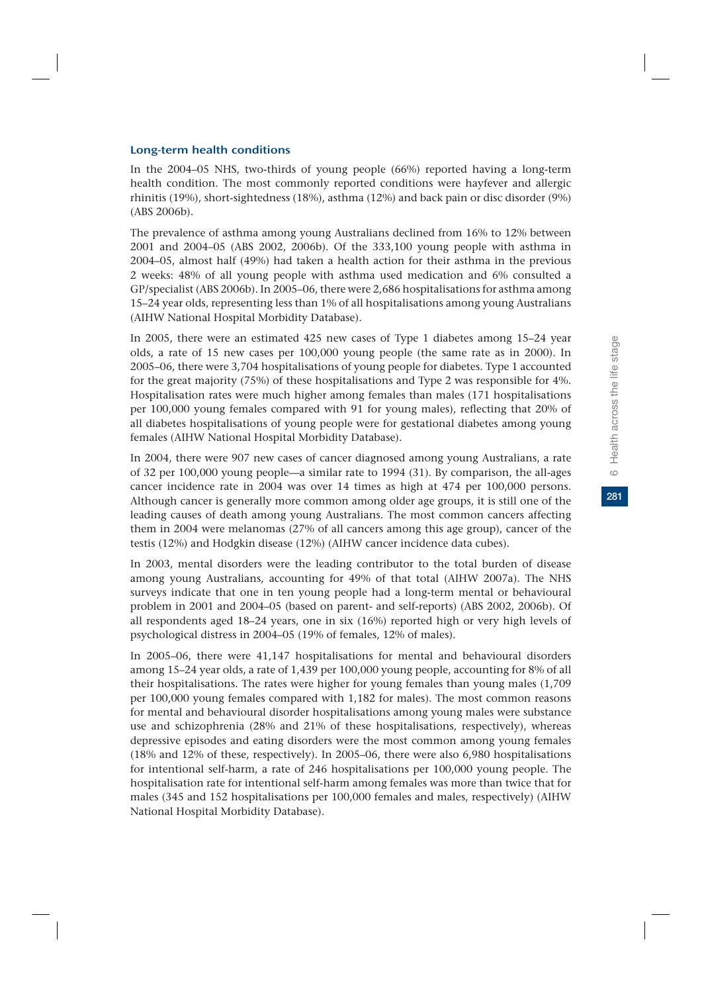281

#### Long-term health conditions

In the 2004–05 NHS, two-thirds of young people (66%) reported having a long-term health condition. The most commonly reported conditions were hayfever and allergic rhinitis (19%), short-sightedness (18%), asthma (12%) and back pain or disc disorder (9%) (ABS 2006b).

The prevalence of asthma among young Australians declined from 16% to 12% between 2001 and 2004–05 (ABS 2002, 2006b). Of the 333,100 young people with asthma in 2004–05, almost half (49%) had taken a health action for their asthma in the previous 2 weeks: 48% of all young people with asthma used medication and 6% consulted a GP/specialist (ABS 2006b). In 2005–06, there were 2,686 hospitalisations for asthma among 15–24 year olds, representing less than 1% of all hospitalisations among young Australians (AIHW National Hospital Morbidity Database).

In 2005, there were an estimated 425 new cases of Type 1 diabetes among 15–24 year olds, a rate of 15 new cases per 100,000 young people (the same rate as in 2000). In 2005–06, there were 3,704 hospitalisations of young people for diabetes. Type 1 accounted for the great majority (75%) of these hospitalisations and Type 2 was responsible for 4%. Hospitalisation rates were much higher among females than males (171 hospitalisations per 100,000 young females compared with 91 for young males), reflecting that 20% of all diabetes hospitalisations of young people were for gestational diabetes among young females (AIHW National Hospital Morbidity Database).

In 2004, there were 907 new cases of cancer diagnosed among young Australians, a rate of 32 per 100,000 young people—a similar rate to 1994 (31). By comparison, the all-ages cancer incidence rate in 2004 was over 14 times as high at 474 per 100,000 persons. Although cancer is generally more common among older age groups, it is still one of the leading causes of death among young Australians. The most common cancers affecting them in 2004 were melanomas (27% of all cancers among this age group), cancer of the testis (12%) and Hodgkin disease (12%) (AIHW cancer incidence data cubes).

In 2003, mental disorders were the leading contributor to the total burden of disease among young Australians, accounting for 49% of that total (AIHW 2007a). The NHS surveys indicate that one in ten young people had a long-term mental or behavioural problem in 2001 and 2004–05 (based on parent- and self-reports) (ABS 2002, 2006b). Of all respondents aged  $18-24$  years, one in six  $(16%)$  reported high or very high levels of psychological distress in 2004–05 (19% of females, 12% of males).

In 2005–06, there were 41,147 hospitalisations for mental and behavioural disorders among 15–24 year olds, a rate of 1,439 per 100,000 young people, accounting for 8% of all their hospitalisations. The rates were higher for young females than young males (1,709 per 100,000 young females compared with 1,182 for males). The most common reasons for mental and behavioural disorder hospitalisations among young males were substance use and schizophrenia (28% and 21% of these hospitalisations, respectively), whereas depressive episodes and eating disorders were the most common among young females (18% and 12% of these, respectively). In 2005–06, there were also 6,980 hospitalisations for intentional self-harm, a rate of 246 hospitalisations per 100,000 young people. The hospitalisation rate for intentional self-harm among females was more than twice that for males (345 and 152 hospitalisations per 100,000 females and males, respectively) (AIHW National Hospital Morbidity Database).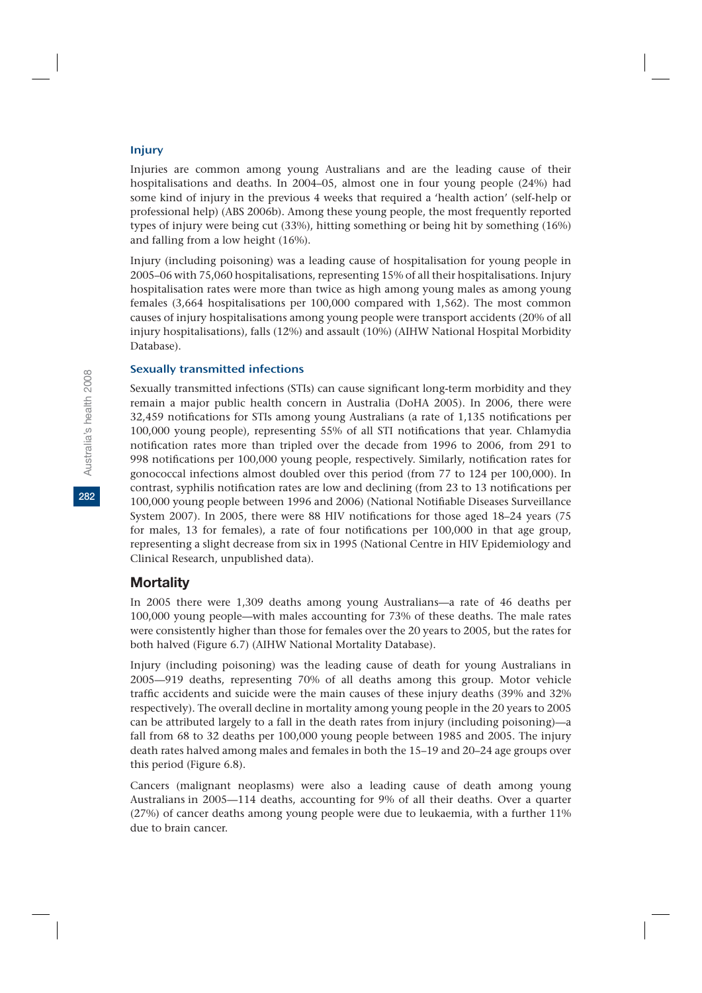#### Injury

Injuries are common among young Australians and are the leading cause of their hospitalisations and deaths. In 2004–05, almost one in four young people (24%) had some kind of injury in the previous 4 weeks that required a 'health action' (self-help or professional help) (ABS 2006b). Among these young people, the most frequently reported types of injury were being cut (33%), hitting something or being hit by something (16%) and falling from a low height (16%).

Injury (including poisoning) was a leading cause of hospitalisation for young people in 2005–06 with 75,060 hospitalisations, representing 15% of all their hospitalisations. Injury hospitalisation rates were more than twice as high among young males as among young females (3,664 hospitalisations per 100,000 compared with 1,562). The most common causes of injury hospitalisations among young people were transport accidents (20% of all injury hospitalisations), falls (12%) and assault (10%) (AIHW National Hospital Morbidity Database).

#### Sexually transmitted infections

Sexually transmitted infections (STIs) can cause significant long-term morbidity and they remain a major public health concern in Australia (DoHA 2005). In 2006, there were 32,459 notifications for STIs among young Australians (a rate of 1,135 notifications per 100,000 young people), representing 55% of all STI notifications that year. Chlamydia notification rates more than tripled over the decade from 1996 to 2006, from 291 to 998 notifications per 100,000 young people, respectively. Similarly, notification rates for gonococcal infections almost doubled over this period (from 77 to 124 per 100,000). In contrast, syphilis notification rates are low and declining (from 23 to 13 notifications per 100,000 young people between 1996 and 2006) (National Notifiable Diseases Surveillance System 2007). In 2005, there were 88 HIV notifications for those aged 18–24 years (75 for males, 13 for females), a rate of four notifications per 100,000 in that age group, representing a slight decrease from six in 1995 (National Centre in HIV Epidemiology and Clinical Research, unpublished data).

### **Mortality**

In 2005 there were 1,309 deaths among young Australians—a rate of 46 deaths per 100,000 young people—with males accounting for 73% of these deaths. The male rates were consistently higher than those for females over the 20 years to 2005, but the rates for both halved (Figure 6.7) (AIHW National Mortality Database).

Injury (including poisoning) was the leading cause of death for young Australians in 2005—919 deaths, representing 70% of all deaths among this group. Motor vehicle traffic accidents and suicide were the main causes of these injury deaths (39% and 32% respectively). The overall decline in mortality among young people in the 20 years to 2005 can be attributed largely to a fall in the death rates from injury (including poisoning)—a fall from 68 to 32 deaths per 100,000 young people between 1985 and 2005. The injury death rates halved among males and females in both the 15–19 and 20–24 age groups over this period (Figure 6.8).

Cancers (malignant neoplasms) were also a leading cause of death among young Australians in 2005—114 deaths, accounting for 9% of all their deaths. Over a quarter (27%) of cancer deaths among young people were due to leukaemia, with a further 11% due to brain cancer.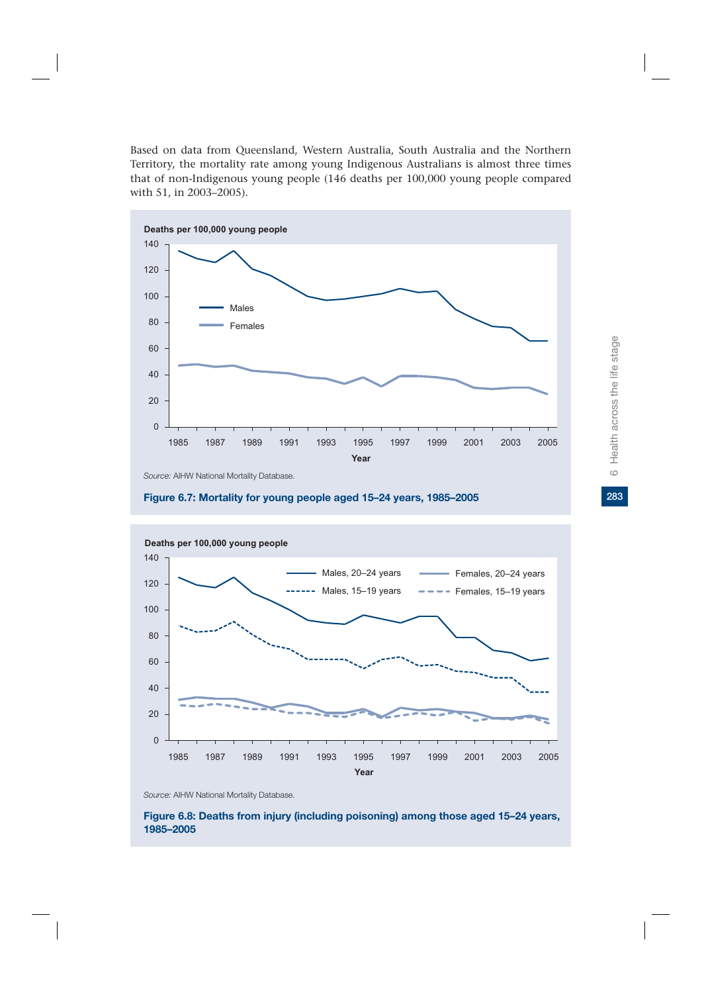Based on data from Queensland, Western Australia, South Australia and the Northern Territory, the mortality rate among young Indigenous Australians is almost three times that of non-Indigenous young people (146 deaths per 100,000 young people compared with 51, in 2003–2005).



*Source:* AIHW National Mortality Database.





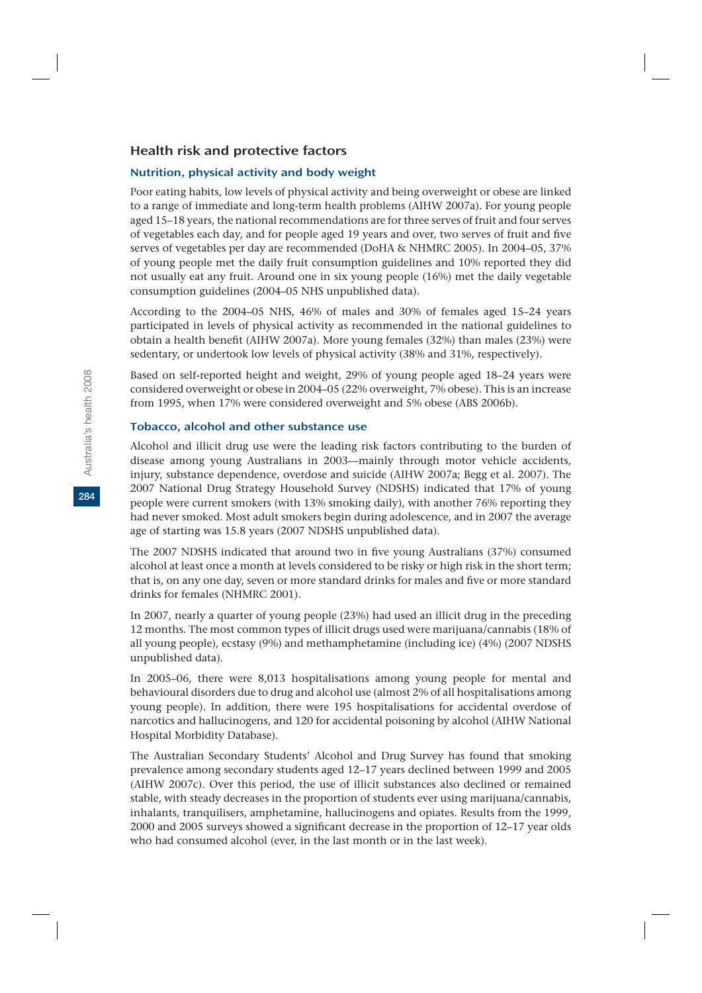### Health risk and protective factors

#### Nutrition, physical activity and body weight

Poor eating habits, low levels of physical activity and being overweight or obese are linked to a range of immediate and long-term health problems (AIHW 2007a). For young people aged 15–18 years, the national recommendations are for three serves of fruit and four serves of vegetables each day, and for people aged 19 years and over, two serves of fruit and five serves of vegetables per day are recommended (DoHA & NHMRC 2005). In 2004–05, 37% of young people met the daily fruit consumption guidelines and 10% reported they did not usually eat any fruit. Around one in six young people (16%) met the daily vegetable consumption guidelines (2004–05 NHS unpublished data).

According to the 2004–05 NHS, 46% of males and 30% of females aged 15–24 years participated in levels of physical activity as recommended in the national guidelines to obtain a health benefit (AIHW 2007a). More young females (32%) than males (23%) were sedentary, or undertook low levels of physical activity (38% and 31%, respectively).

Based on self-reported height and weight, 29% of young people aged 18–24 years were considered overweight or obese in 2004–05 (22% overweight, 7% obese). This is an increase from 1995, when 17% were considered overweight and 5% obese (ABS 2006b).

#### Tobacco, alcohol and other substance use

Alcohol and illicit drug use were the leading risk factors contributing to the burden of disease among young Australians in 2003—mainly through motor vehicle accidents, injury, substance dependence, overdose and suicide (AIHW 2007a; Begg et al. 2007). The 2007 National Drug Strategy Household Survey (NDSHS) indicated that 17% of young people were current smokers (with 13% smoking daily), with another 76% reporting they had never smoked. Most adult smokers begin during adolescence, and in 2007 the average age of starting was 15.8 years (2007 NDSHS unpublished data).

The 2007 NDSHS indicated that around two in five young Australians (37%) consumed alcohol at least once a month at levels considered to be risky or high risk in the short term; that is, on any one day, seven or more standard drinks for males and five or more standard drinks for females (NHMRC 2001).

In 2007, nearly a quarter of young people (23%) had used an illicit drug in the preceding 12 months. The most common types of illicit drugs used were marijuana/cannabis (18% of all young people), ecstasy (9%) and methamphetamine (including ice) (4%) (2007 NDSHS unpublished data).

In 2005–06, there were 8,013 hospitalisations among young people for mental and behavioural disorders due to drug and alcohol use (almost 2% of all hospitalisations among young people). In addition, there were 195 hospitalisations for accidental overdose of narcotics and hallucinogens, and 120 for accidental poisoning by alcohol (AIHW National Hospital Morbidity Database).

The Australian Secondary Students' Alcohol and Drug Survey has found that smoking prevalence among secondary students aged 12–17 years declined between 1999 and 2005 (AIHW 2007c). Over this period, the use of illicit substances also declined or remained stable, with steady decreases in the proportion of students ever using marijuana/cannabis, inhalants, tranquilisers, amphetamine, hallucinogens and opiates. Results from the 1999, 2000 and 2005 surveys showed a significant decrease in the proportion of 12–17 year olds who had consumed alcohol (ever, in the last month or in the last week).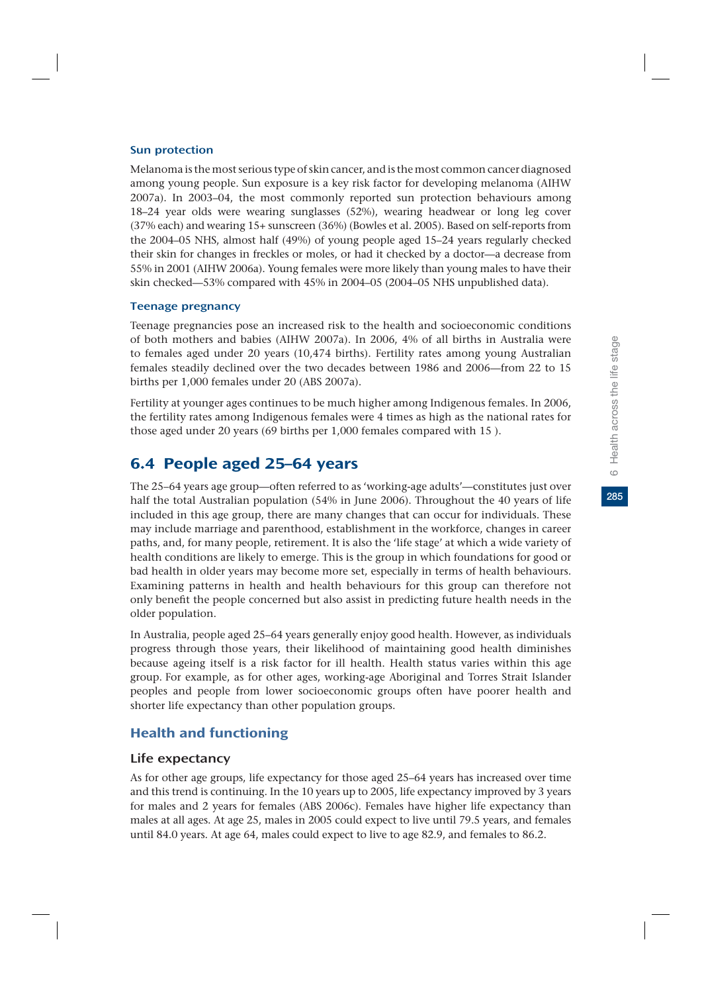#### Sun protection

Melanoma is the most serious type of skin cancer, and is the most common cancer diagnosed among young people. Sun exposure is a key risk factor for developing melanoma (AIHW 2007a). In 2003–04, the most commonly reported sun protection behaviours among 18–24 year olds were wearing sunglasses (52%), wearing headwear or long leg cover (37% each) and wearing 15+ sunscreen (36%) (Bowles et al. 2005). Based on self-reports from the 2004–05 NHS, almost half (49%) of young people aged 15–24 years regularly checked their skin for changes in freckles or moles, or had it checked by a doctor—a decrease from 55% in 2001 (AIHW 2006a). Young females were more likely than young males to have their skin checked—53% compared with 45% in 2004–05 (2004–05 NHS unpublished data).

#### Teenage pregnancy

Teenage pregnancies pose an increased risk to the health and socioeconomic conditions of both mothers and babies (AIHW 2007a). In 2006, 4% of all births in Australia were to females aged under 20 years (10,474 births). Fertility rates among young Australian females steadily declined over the two decades between 1986 and 2006—from 22 to 15 births per 1,000 females under 20 (ABS 2007a).

Fertility at younger ages continues to be much higher among Indigenous females. In 2006, the fertility rates among Indigenous females were 4 times as high as the national rates for those aged under 20 years (69 births per 1,000 females compared with 15 ).

# 6.4 People aged 25–64 years

The 25–64 years age group—often referred to as 'working-age adults'—constitutes just over half the total Australian population (54% in June 2006). Throughout the 40 years of life included in this age group, there are many changes that can occur for individuals. These may include marriage and parenthood, establishment in the workforce, changes in career paths, and, for many people, retirement. It is also the 'life stage' at which a wide variety of health conditions are likely to emerge. This is the group in which foundations for good or bad health in older years may become more set, especially in terms of health behaviours. Examining patterns in health and health behaviours for this group can therefore not only benefit the people concerned but also assist in predicting future health needs in the older population.

In Australia, people aged 25–64 years generally enjoy good health. However, as individuals progress through those years, their likelihood of maintaining good health diminishes because ageing itself is a risk factor for ill health. Health status varies within this age group. For example, as for other ages, working-age Aboriginal and Torres Strait Islander peoples and people from lower socioeconomic groups often have poorer health and shorter life expectancy than other population groups.

# Health and functioning

### Life expectancy

As for other age groups, life expectancy for those aged 25–64 years has increased over time and this trend is continuing. In the 10 years up to 2005, life expectancy improved by 3 years for males and 2 years for females (ABS 2006c). Females have higher life expectancy than males at all ages. At age 25, males in 2005 could expect to live until 79.5 years, and females until 84.0 years. At age 64, males could expect to live to age 82.9, and females to 86.2.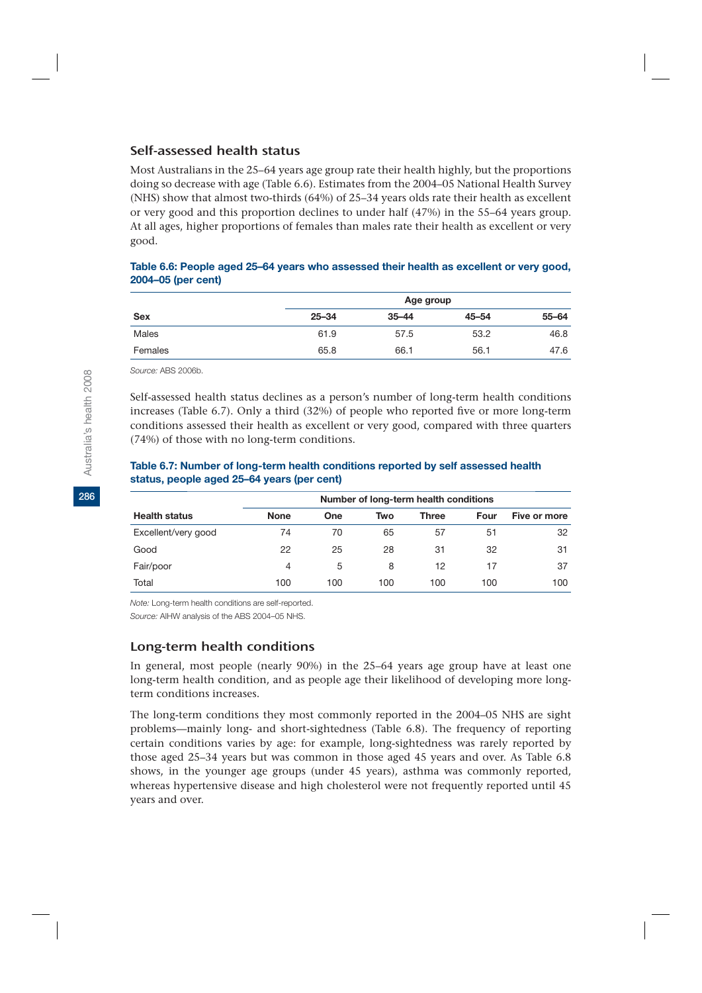### Self-assessed health status

Most Australians in the 25–64 years age group rate their health highly, but the proportions doing so decrease with age (Table 6.6). Estimates from the 2004–05 National Health Survey (NHS) show that almost two-thirds (64%) of 25–34 years olds rate their health as excellent or very good and this proportion declines to under half (47%) in the 55–64 years group. At all ages, higher proportions of females than males rate their health as excellent or very good.

#### **Table 6.6: People aged 25–64 years who assessed their health as excellent or very good, 2004–05 (per cent)**

|            |           |           | Age group |       |
|------------|-----------|-----------|-----------|-------|
| <b>Sex</b> | $25 - 34$ | $35 - 44$ | $45 - 54$ | 55-64 |
| Males      | 61.9      | 57.5      | 53.2      | 46.8  |
| Females    | 65.8      | 66.1      | 56.1      | 47.6  |

*Source:* ABS 2006b.

Self-assessed health status declines as a person's number of long-term health conditions increases (Table 6.7). Only a third (32%) of people who reported five or more long-term conditions assessed their health as excellent or very good, compared with three quarters (74%) of those with no long-term conditions.

#### **Table 6.7: Number of long-term health conditions reported by self assessed health status, people aged 25–64 years (per cent)**

|                      | Number of long-term health conditions |            |     |              |      |              |  |  |  |
|----------------------|---------------------------------------|------------|-----|--------------|------|--------------|--|--|--|
| <b>Health status</b> | <b>None</b>                           | <b>One</b> | Two | <b>Three</b> | Four | Five or more |  |  |  |
| Excellent/very good  | 74                                    | 70         | 65  | 57           | 51   | 32           |  |  |  |
| Good                 | 22                                    | 25         | 28  | 31           | 32   | 31           |  |  |  |
| Fair/poor            | 4                                     | 5          | 8   | 12           | 17   | 37           |  |  |  |
| Total                | 100                                   | 100        | 100 | 100          | 100  | 100          |  |  |  |

*Note:* Long-term health conditions are self-reported.

*Source:* AIHW analysis of the ABS 2004–05 NHS.

### Long-term health conditions

In general, most people (nearly 90%) in the 25–64 years age group have at least one long-term health condition, and as people age their likelihood of developing more longterm conditions increases.

The long-term conditions they most commonly reported in the 2004–05 NHS are sight problems—mainly long- and short-sightedness (Table 6.8). The frequency of reporting certain conditions varies by age: for example, long-sightedness was rarely reported by those aged 25–34 years but was common in those aged 45 years and over. As Table 6.8 shows, in the younger age groups (under 45 years), asthma was commonly reported, whereas hypertensive disease and high cholesterol were not frequently reported until 45 years and over.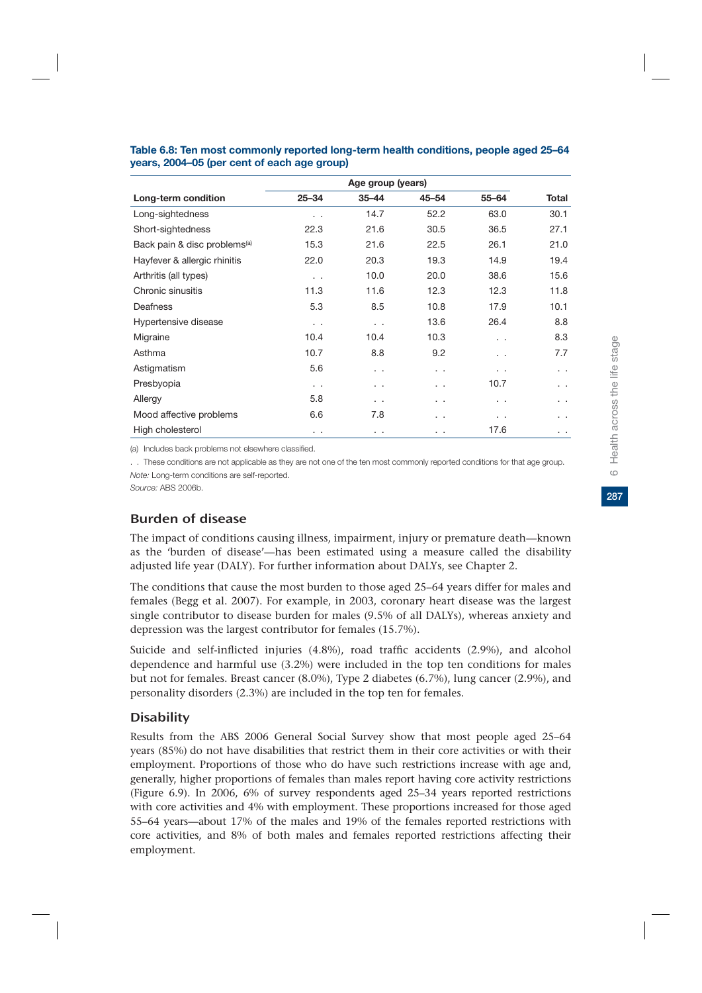|                                          | Age group (years) |           |           |           |              |  |  |
|------------------------------------------|-------------------|-----------|-----------|-----------|--------------|--|--|
| Long-term condition                      | $25 - 34$         | $35 - 44$ | $45 - 54$ | $55 - 64$ | <b>Total</b> |  |  |
| Long-sightedness                         | . .               | 14.7      | 52.2      | 63.0      | 30.1         |  |  |
| Short-sightedness                        | 22.3              | 21.6      | 30.5      | 36.5      | 27.1         |  |  |
| Back pain & disc problems <sup>(a)</sup> | 15.3              | 21.6      | 22.5      | 26.1      | 21.0         |  |  |
| Hayfever & allergic rhinitis             | 22.0              | 20.3      | 19.3      | 14.9      | 19.4         |  |  |
| Arthritis (all types)                    | $\ddotsc$         | 10.0      | 20.0      | 38.6      | 15.6         |  |  |
| Chronic sinusitis                        | 11.3              | 11.6      | 12.3      | 12.3      | 11.8         |  |  |
| Deafness                                 | 5.3               | 8.5       | 10.8      | 17.9      | 10.1         |  |  |
| Hypertensive disease                     | $\ddotsc$         | $\ddotsc$ | 13.6      | 26.4      | 8.8          |  |  |
| Migraine                                 | 10.4              | 10.4      | 10.3      | $\cdot$ . | 8.3          |  |  |
| Asthma                                   | 10.7              | 8.8       | 9.2       | . .       | 7.7          |  |  |
| Astigmatism                              | 5.6               | $\cdot$ . | . .       | . .       | . .          |  |  |
| Presbyopia                               | $\ddotsc$         | $\cdot$ . | . .       | 10.7      | . .          |  |  |
| Allergy                                  | 5.8               | $\cdot$ . | . .       | . .       | . .          |  |  |
| Mood affective problems                  | 6.6               | 7.8       | $\cdot$ . | . .       | . .          |  |  |
| High cholesterol                         | $\cdot$ .         | $\cdot$ . | $\cdot$ . | 17.6      | . .          |  |  |

#### **Table 6.8: Ten most commonly reported long-term health conditions, people aged 25–64 years, 2004–05 (per cent of each age group)**

(a) Includes back problems not elsewhere classified.

. . These conditions are not applicable as they are not one of the ten most commonly reported conditions for that age group. *Note:* Long-term conditions are self-reported.

*Source:* ABS 2006b.

# Burden of disease

The impact of conditions causing illness, impairment, injury or premature death—known as the 'burden of disease'—has been estimated using a measure called the disability adjusted life year (DALY). For further information about DALYs, see Chapter 2.

The conditions that cause the most burden to those aged 25–64 years differ for males and females (Begg et al. 2007). For example, in 2003, coronary heart disease was the largest single contributor to disease burden for males (9.5% of all DALYs), whereas anxiety and depression was the largest contributor for females (15.7%).

Suicide and self-inflicted injuries (4.8%), road traffic accidents (2.9%), and alcohol dependence and harmful use (3.2%) were included in the top ten conditions for males but not for females. Breast cancer (8.0%), Type 2 diabetes (6.7%), lung cancer (2.9%), and personality disorders (2.3%) are included in the top ten for females.

### **Disability**

Results from the ABS 2006 General Social Survey show that most people aged 25–64 years (85%) do not have disabilities that restrict them in their core activities or with their employment. Proportions of those who do have such restrictions increase with age and, generally, higher proportions of females than males report having core activity restrictions (Figure 6.9). In 2006, 6% of survey respondents aged 25–34 years reported restrictions with core activities and 4% with employment. These proportions increased for those aged 55–64 years—about 17% of the males and 19% of the females reported restrictions with core activities, and 8% of both males and females reported restrictions affecting their employment.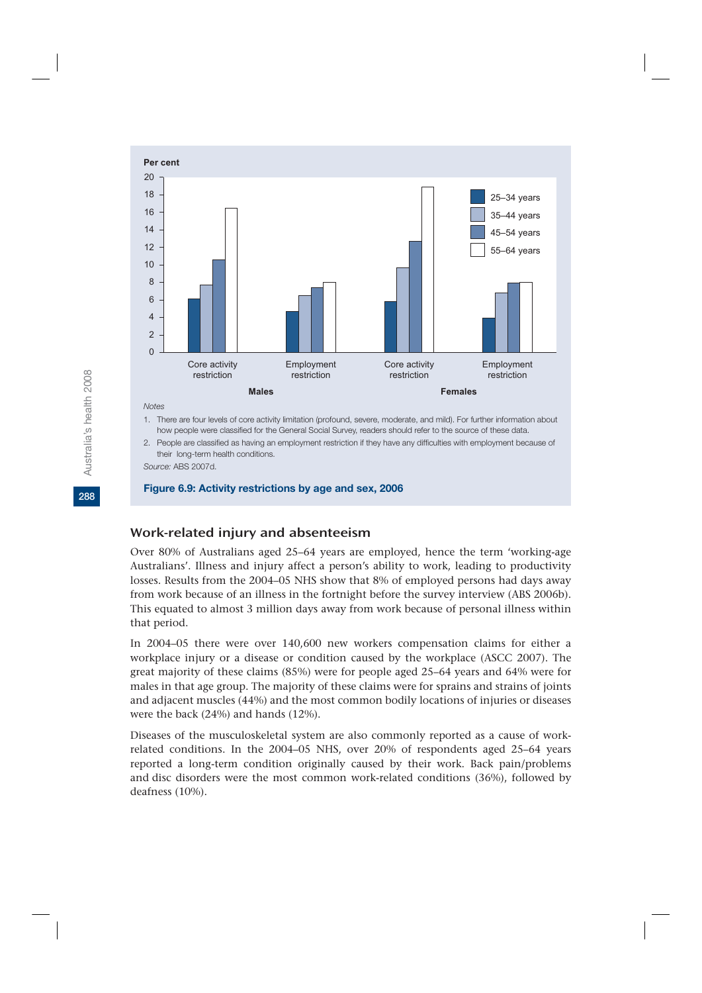

*Notes* 

1. There are four levels of core activity limitation (profound, severe, moderate, and mild). For further information about how people were classified for the General Social Survey, readers should refer to the source of these data.

2. People are classified as having an employment restriction if they have any difficulties with employment because of their long-term health conditions.

*Source:* ABS 2007d.

#### **Figure 6.9: Activity restrictions by age and sex, 2006**

#### Work-related injury and absenteeism

Over 80% of Australians aged 25–64 years are employed, hence the term 'working-age Australians'. Illness and injury affect a person's ability to work, leading to productivity losses. Results from the 2004–05 NHS show that 8% of employed persons had days away from work because of an illness in the fortnight before the survey interview (ABS 2006b). This equated to almost 3 million days away from work because of personal illness within that period.

In 2004–05 there were over 140,600 new workers compensation claims for either a workplace injury or a disease or condition caused by the workplace (ASCC 2007). The great majority of these claims (85%) were for people aged 25–64 years and 64% were for males in that age group. The majority of these claims were for sprains and strains of joints and adjacent muscles (44%) and the most common bodily locations of injuries or diseases were the back (24%) and hands (12%).

Diseases of the musculoskeletal system are also commonly reported as a cause of workrelated conditions. In the 2004–05 NHS, over 20% of respondents aged 25–64 years reported a long-term condition originally caused by their work. Back pain/problems and disc disorders were the most common work-related conditions (36%), followed by deafness (10%).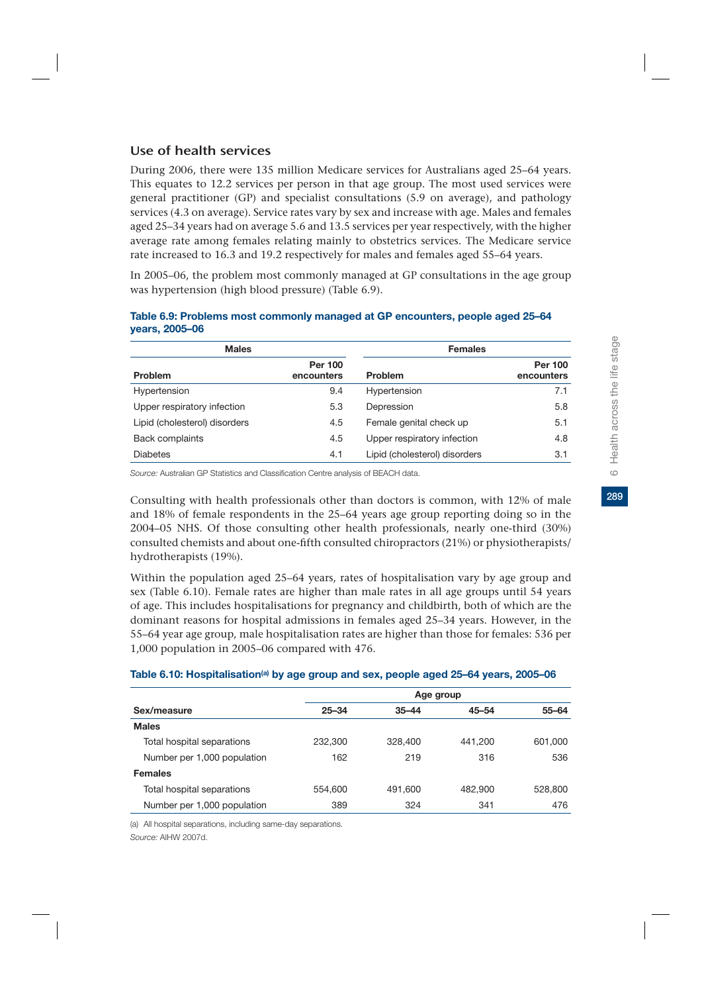# Use of health services

During 2006, there were 135 million Medicare services for Australians aged 25–64 years. This equates to 12.2 services per person in that age group. The most used services were general practitioner (GP) and specialist consultations (5.9 on average), and pathology services (4.3 on average). Service rates vary by sex and increase with age. Males and females aged 25–34 years had on average 5.6 and 13.5 services per year respectively, with the higher average rate among females relating mainly to obstetrics services. The Medicare service rate increased to 16.3 and 19.2 respectively for males and females aged 55–64 years.

In 2005–06, the problem most commonly managed at GP consultations in the age group was hypertension (high blood pressure) (Table 6.9).

| <b>Males</b>                  |                              | <b>Females</b>                |                              |  |  |
|-------------------------------|------------------------------|-------------------------------|------------------------------|--|--|
| <b>Problem</b>                | <b>Per 100</b><br>encounters | Problem                       | <b>Per 100</b><br>encounters |  |  |
| Hypertension                  | 9.4                          | Hypertension                  | 7.1                          |  |  |
| Upper respiratory infection   | 5.3                          | Depression                    | 5.8                          |  |  |
| Lipid (cholesterol) disorders | 4.5                          | Female genital check up       | 5.1                          |  |  |
| <b>Back complaints</b>        | 4.5                          | Upper respiratory infection   | 4.8                          |  |  |
| <b>Diabetes</b>               | 4.1                          | Lipid (cholesterol) disorders | 3.1                          |  |  |

#### **Table 6.9: Problems most commonly managed at GP encounters, people aged 25–64 years, 2005–06**

*Source:* Australian GP Statistics and Classification Centre analysis of BEACH data.

Consulting with health professionals other than doctors is common, with 12% of male and 18% of female respondents in the 25–64 years age group reporting doing so in the 2004–05 NHS. Of those consulting other health professionals, nearly one-third (30%) consulted chemists and about one-fifth consulted chiropractors (21%) or physiotherapists/ hydrotherapists (19%).

Within the population aged 25–64 years, rates of hospitalisation vary by age group and sex (Table 6.10). Female rates are higher than male rates in all age groups until 54 years of age. This includes hospitalisations for pregnancy and childbirth, both of which are the dominant reasons for hospital admissions in females aged 25–34 years. However, in the 55–64 year age group, male hospitalisation rates are higher than those for females: 536 per 1,000 population in 2005–06 compared with 476.

#### Table 6.10: Hospitalisation<sup>(a)</sup> by age group and sex, people aged 25–64 years, 2005–06

|                             | Age group |           |           |           |  |  |  |  |
|-----------------------------|-----------|-----------|-----------|-----------|--|--|--|--|
| Sex/measure                 | $25 - 34$ | $35 - 44$ | $45 - 54$ | $55 - 64$ |  |  |  |  |
| <b>Males</b>                |           |           |           |           |  |  |  |  |
| Total hospital separations  | 232,300   | 328,400   | 441.200   | 601,000   |  |  |  |  |
| Number per 1,000 population | 162       | 219       | 316       | 536       |  |  |  |  |
| <b>Females</b>              |           |           |           |           |  |  |  |  |
| Total hospital separations  | 554,600   | 491.600   | 482,900   | 528,800   |  |  |  |  |
| Number per 1,000 population | 389       | 324       | 341       | 476       |  |  |  |  |
|                             |           |           |           |           |  |  |  |  |

(a) All hospital separations, including same-day separations. *Source:* AIHW 2007d.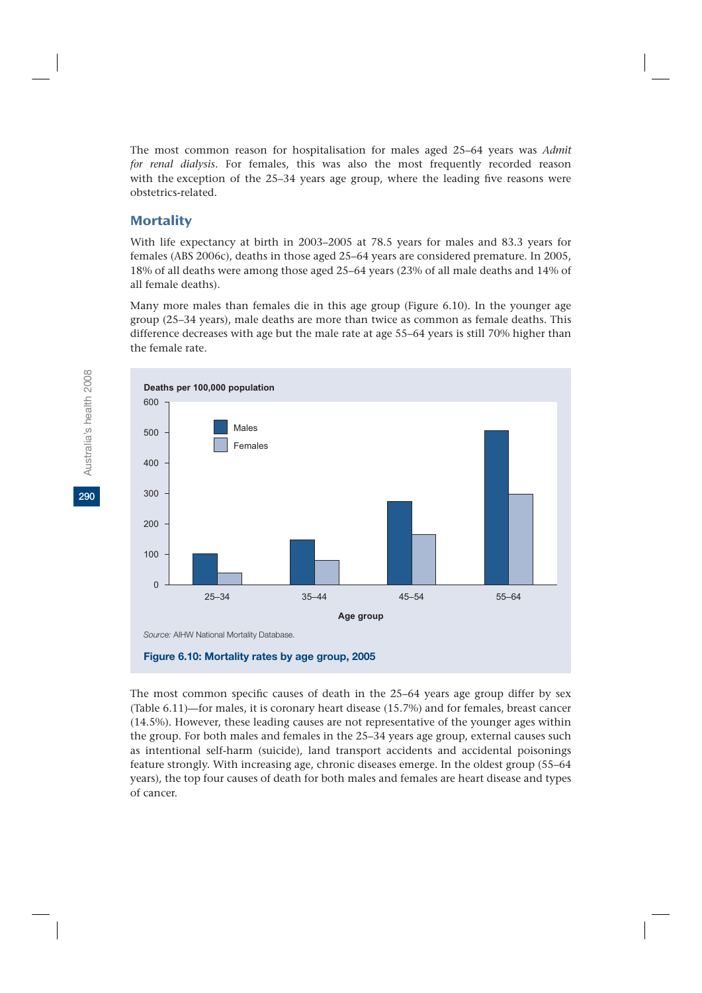The most common reason for hospitalisation for males aged 25–64 years was *Admit for renal dialysis*. For females, this was also the most frequently recorded reason with the exception of the 25–34 years age group, where the leading five reasons were obstetrics-related.

### **Mortality**

With life expectancy at birth in 2003–2005 at 78.5 years for males and 83.3 years for females (ABS 2006c), deaths in those aged 25–64 years are considered premature. In 2005, 18% of all deaths were among those aged 25–64 years (23% of all male deaths and 14% of all female deaths).

Many more males than females die in this age group (Figure 6.10). In the younger age group (25–34 years), male deaths are more than twice as common as female deaths. This difference decreases with age but the male rate at age 55–64 years is still 70% higher than the female rate.



The most common specific causes of death in the 25–64 years age group differ by sex (Table 6.11)—for males, it is coronary heart disease (15.7%) and for females, breast cancer (14.5%). However, these leading causes are not representative of the younger ages within the group. For both males and females in the 25–34 years age group, external causes such as intentional self-harm (suicide), land transport accidents and accidental poisonings feature strongly. With increasing age, chronic diseases emerge. In the oldest group (55–64 years), the top four causes of death for both males and females are heart disease and types of cancer.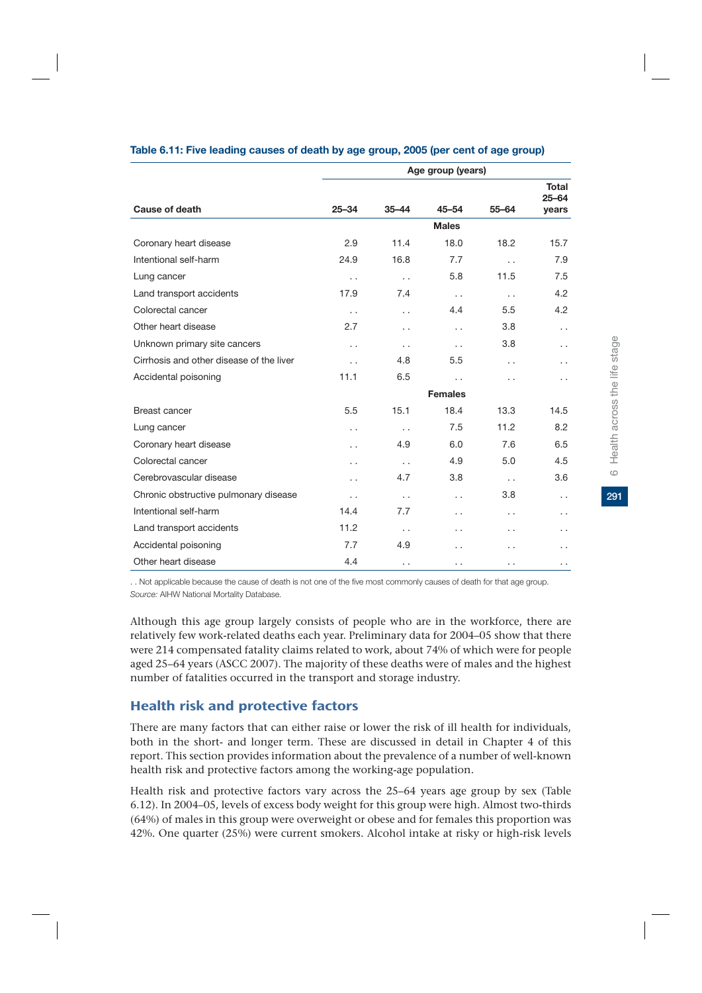|                                          | Age group (years)    |                      |                      |                      |                           |
|------------------------------------------|----------------------|----------------------|----------------------|----------------------|---------------------------|
| Cause of death                           | $25 - 34$            | $35 - 44$            | $45 - 54$            | $55 - 64$            | <b>Total</b><br>$25 - 64$ |
|                                          |                      |                      |                      |                      | years                     |
|                                          |                      |                      | <b>Males</b>         |                      |                           |
| Coronary heart disease                   | 2.9                  | 11.4                 | 18.0                 | 18.2                 | 15.7                      |
| Intentional self-harm                    | 24.9                 | 16.8                 | 7.7                  | $\ddot{\phantom{0}}$ | 7.9                       |
| Lung cancer                              | $\ddot{\phantom{0}}$ | $\ddot{\phantom{0}}$ | 5.8                  | 11.5                 | 7.5                       |
| Land transport accidents                 | 17.9                 | 7.4                  | $\ddot{\phantom{0}}$ | $\ddotsc$            | 4.2                       |
| Colorectal cancer                        | $\ddot{\phantom{0}}$ | $\ddot{\phantom{0}}$ | 4.4                  | 5.5                  | 4.2                       |
| Other heart disease                      | 2.7                  | . .                  | . .                  | 3.8                  | . .                       |
| Unknown primary site cancers             | $\ddot{\phantom{0}}$ | $\ddot{\phantom{0}}$ | $\ddot{\phantom{0}}$ | 3.8                  | $\sim$                    |
| Cirrhosis and other disease of the liver | $\ddot{\phantom{0}}$ | 4.8                  | 5.5                  | . .                  | . .                       |
| Accidental poisoning                     | 11.1                 | 6.5                  | . .                  | . .                  | . .                       |
|                                          |                      |                      | <b>Females</b>       |                      |                           |
| Breast cancer                            | 5.5                  | 15.1                 | 18.4                 | 13.3                 | 14.5                      |
| Lung cancer                              | $\ddot{\phantom{0}}$ | $\ddot{\phantom{0}}$ | 7.5                  | 11.2                 | 8.2                       |
| Coronary heart disease                   | $\ddot{\phantom{0}}$ | 4.9                  | 6.0                  | 7.6                  | 6.5                       |
| Colorectal cancer                        | $\ddot{\phantom{0}}$ | $\ddot{\phantom{0}}$ | 4.9                  | 5.0                  | 4.5                       |
| Cerebrovascular disease                  | $\ddot{\phantom{0}}$ | 4.7                  | 3.8                  | $\ddotsc$            | 3.6                       |
| Chronic obstructive pulmonary disease    | $\ddot{\phantom{0}}$ | $\ddot{\phantom{0}}$ | . .                  | 3.8                  | . .                       |
| Intentional self-harm                    | 14.4                 | 7.7                  | . .                  | . .                  | . .                       |
| Land transport accidents                 | 11.2                 | $\ddot{\phantom{0}}$ | . .                  | . .                  | . .                       |
| Accidental poisoning                     | 7.7                  | 4.9                  | . .                  | . .                  | . .                       |
| Other heart disease                      | 4.4                  | $\ddot{\phantom{0}}$ | . .                  | . .                  | . .                       |

#### **Table 6.11: Five leading causes of death by age group, 2005 (per cent of age group)**

. . Not applicable because the cause of death is not one of the five most commonly causes of death for that age group. *Source:* AIHW National Mortality Database.

Although this age group largely consists of people who are in the workforce, there are relatively few work-related deaths each year. Preliminary data for 2004–05 show that there were 214 compensated fatality claims related to work, about 74% of which were for people aged 25–64 years (ASCC 2007). The majority of these deaths were of males and the highest number of fatalities occurred in the transport and storage industry.

# Health risk and protective factors

There are many factors that can either raise or lower the risk of ill health for individuals, both in the short- and longer term. These are discussed in detail in Chapter 4 of this report. This section provides information about the prevalence of a number of well-known health risk and protective factors among the working-age population.

Health risk and protective factors vary across the 25–64 years age group by sex (Table 6.12). In 2004–05, levels of excess body weight for this group were high. Almost two-thirds (64%) of males in this group were overweight or obese and for females this proportion was 42%. One quarter (25%) were current smokers. Alcohol intake at risky or high-risk levels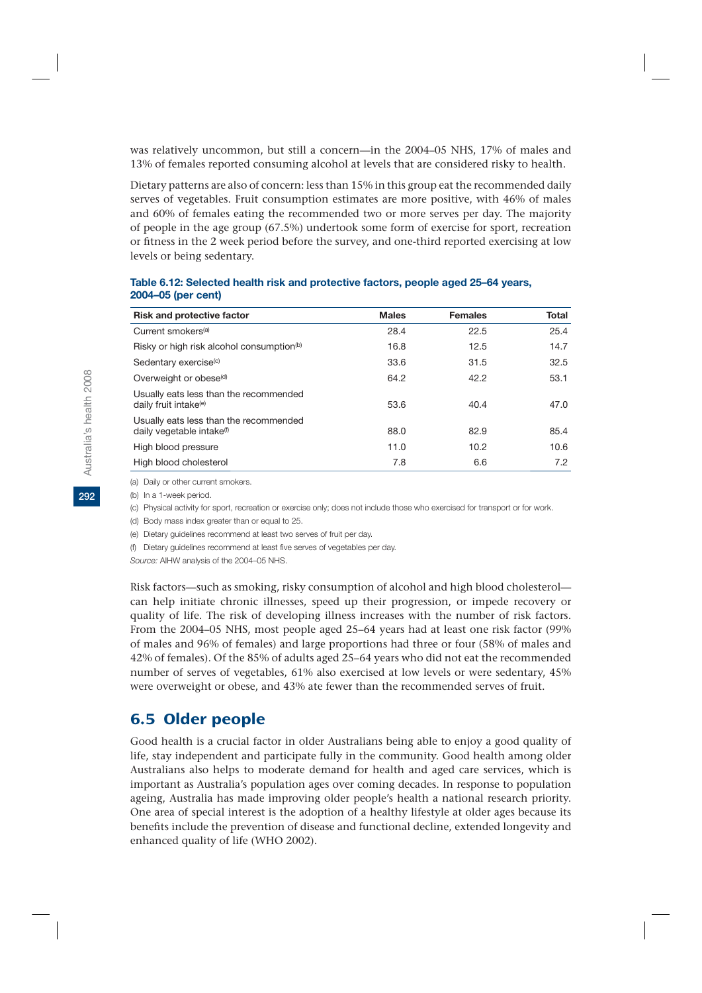was relatively uncommon, but still a concern—in the 2004–05 NHS, 17% of males and 13% of females reported consuming alcohol at levels that are considered risky to health.

Dietary patterns are also of concern: less than 15% in this group eat the recommended daily serves of vegetables. Fruit consumption estimates are more positive, with 46% of males and 60% of females eating the recommended two or more serves per day. The majority of people in the age group (67.5%) undertook some form of exercise for sport, recreation or fitness in the 2 week period before the survey, and one-third reported exercising at low levels or being sedentary.

| <b>Risk and protective factor</b>                                               | <b>Males</b> | <b>Females</b> | <b>Total</b> |
|---------------------------------------------------------------------------------|--------------|----------------|--------------|
| Current smokers <sup>(a)</sup>                                                  | 28.4         | 22.5           | 25.4         |
| Risky or high risk alcohol consumption <sup>(b)</sup>                           | 16.8         | 12.5           | 14.7         |
| Sedentary exercise <sup>(c)</sup>                                               | 33.6         | 31.5           | 32.5         |
| Overweight or obese <sup>(d)</sup>                                              | 64.2         | 42.2           | 53.1         |
| Usually eats less than the recommended<br>daily fruit intake <sup>(e)</sup>     | 53.6         | 40.4           | 47.0         |
| Usually eats less than the recommended<br>daily vegetable intake <sup>(f)</sup> | 88.0         | 82.9           | 85.4         |
| High blood pressure                                                             | 11.0         | 10.2           | 10.6         |
| High blood cholesterol                                                          | 7.8          | 6.6            | 7.2          |

#### **Table 6.12: Selected health risk and protective factors, people aged 25–64 years, 2004–05 (per cent)**

(a) Daily or other current smokers.

(b) In a 1-week period.

(c) Physical activity for sport, recreation or exercise only; does not include those who exercised for transport or for work.

(d) Body mass index greater than or equal to 25.

(e) Dietary guidelines recommend at least two serves of fruit per day.

(f) Dietary guidelines recommend at least five serves of vegetables per day.

*Source:* AIHW analysis of the 2004–05 NHS.

Risk factors—such as smoking, risky consumption of alcohol and high blood cholesterol can help initiate chronic illnesses, speed up their progression, or impede recovery or quality of life. The risk of developing illness increases with the number of risk factors. From the 2004–05 NHS, most people aged 25–64 years had at least one risk factor (99% of males and 96% of females) and large proportions had three or four (58% of males and 42% of females). Of the 85% of adults aged 25–64 years who did not eat the recommended number of serves of vegetables, 61% also exercised at low levels or were sedentary, 45% were overweight or obese, and 43% ate fewer than the recommended serves of fruit.

# 6.5 Older people

Good health is a crucial factor in older Australians being able to enjoy a good quality of life, stay independent and participate fully in the community. Good health among older Australians also helps to moderate demand for health and aged care services, which is important as Australia's population ages over coming decades. In response to population ageing, Australia has made improving older people's health a national research priority. One area of special interest is the adoption of a healthy lifestyle at older ages because its benefits include the prevention of disease and functional decline, extended longevity and enhanced quality of life (WHO 2002).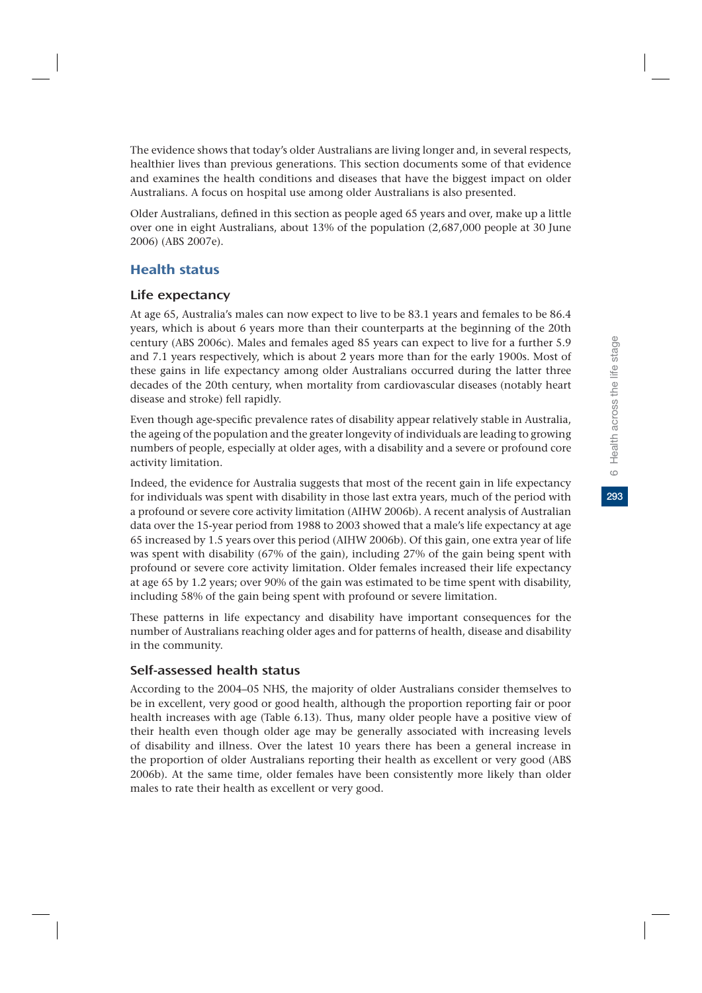The evidence shows that today's older Australians are living longer and, in several respects, healthier lives than previous generations. This section documents some of that evidence and examines the health conditions and diseases that have the biggest impact on older Australians. A focus on hospital use among older Australians is also presented.

Older Australians, defined in this section as people aged 65 years and over, make up a little over one in eight Australians, about 13% of the population (2,687,000 people at 30 June 2006) (ABS 2007e).

# Health status

### Life expectancy

At age 65, Australia's males can now expect to live to be 83.1 years and females to be 86.4 years, which is about 6 years more than their counterparts at the beginning of the 20th century (ABS 2006c). Males and females aged 85 years can expect to live for a further 5.9 and 7.1 years respectively, which is about 2 years more than for the early 1900s. Most of these gains in life expectancy among older Australians occurred during the latter three decades of the 20th century, when mortality from cardiovascular diseases (notably heart disease and stroke) fell rapidly.

Even though age-specific prevalence rates of disability appear relatively stable in Australia, the ageing of the population and the greater longevity of individuals are leading to growing numbers of people, especially at older ages, with a disability and a severe or profound core activity limitation.

Indeed, the evidence for Australia suggests that most of the recent gain in life expectancy for individuals was spent with disability in those last extra years, much of the period with a profound or severe core activity limitation (AIHW 2006b). A recent analysis of Australian data over the 15-year period from 1988 to 2003 showed that a male's life expectancy at age 65 increased by 1.5 years over this period (AIHW 2006b). Of this gain, one extra year of life was spent with disability (67% of the gain), including 27% of the gain being spent with profound or severe core activity limitation. Older females increased their life expectancy at age 65 by 1.2 years; over 90% of the gain was estimated to be time spent with disability, including 58% of the gain being spent with profound or severe limitation.

These patterns in life expectancy and disability have important consequences for the number of Australians reaching older ages and for patterns of health, disease and disability in the community.

### Self-assessed health status

According to the 2004–05 NHS, the majority of older Australians consider themselves to be in excellent, very good or good health, although the proportion reporting fair or poor health increases with age (Table 6.13). Thus, many older people have a positive view of their health even though older age may be generally associated with increasing levels of disability and illness. Over the latest 10 years there has been a general increase in the proportion of older Australians reporting their health as excellent or very good (ABS 2006b). At the same time, older females have been consistently more likely than older males to rate their health as excellent or very good.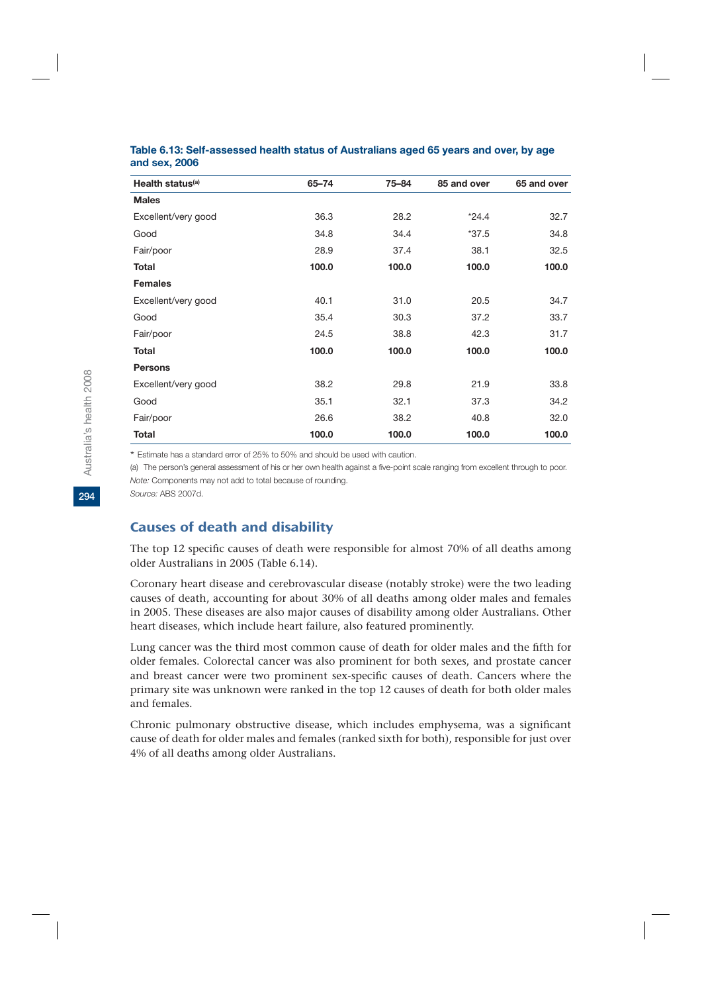| Health status <sup>(a)</sup> | $65 - 74$ | 75-84 | 85 and over | 65 and over |
|------------------------------|-----------|-------|-------------|-------------|
| <b>Males</b>                 |           |       |             |             |
| Excellent/very good          | 36.3      | 28.2  | $*24.4$     | 32.7        |
| Good                         | 34.8      | 34.4  | $*37.5$     | 34.8        |
| Fair/poor                    | 28.9      | 37.4  | 38.1        | 32.5        |
| <b>Total</b>                 | 100.0     | 100.0 | 100.0       | 100.0       |
| <b>Females</b>               |           |       |             |             |
| Excellent/very good          | 40.1      | 31.0  | 20.5        | 34.7        |
| Good                         | 35.4      | 30.3  | 37.2        | 33.7        |
| Fair/poor                    | 24.5      | 38.8  | 42.3        | 31.7        |
| <b>Total</b>                 | 100.0     | 100.0 | 100.0       | 100.0       |
| <b>Persons</b>               |           |       |             |             |
| Excellent/very good          | 38.2      | 29.8  | 21.9        | 33.8        |
| Good                         | 35.1      | 32.1  | 37.3        | 34.2        |
| Fair/poor                    | 26.6      | 38.2  | 40.8        | 32.0        |
| <b>Total</b>                 | 100.0     | 100.0 | 100.0       | 100.0       |

#### **Table 6.13: Self-assessed health status of Australians aged 65 years and over, by age and sex, 2006**

\* Estimate has a standard error of 25% to 50% and should be used with caution.

(a) The person's general assessment of his or her own health against a five-point scale ranging from excellent through to poor. *Note:* Components may not add to total because of rounding.

*Source:* ABS 2007d.

# Causes of death and disability

The top 12 specific causes of death were responsible for almost 70% of all deaths among older Australians in 2005 (Table 6.14).

Coronary heart disease and cerebrovascular disease (notably stroke) were the two leading causes of death, accounting for about 30% of all deaths among older males and females in 2005. These diseases are also major causes of disability among older Australians. Other heart diseases, which include heart failure, also featured prominently.

Lung cancer was the third most common cause of death for older males and the fifth for older females. Colorectal cancer was also prominent for both sexes, and prostate cancer and breast cancer were two prominent sex-specific causes of death. Cancers where the primary site was unknown were ranked in the top 12 causes of death for both older males and females.

Chronic pulmonary obstructive disease, which includes emphysema, was a significant cause of death for older males and females (ranked sixth for both), responsible for just over 4% of all deaths among older Australians.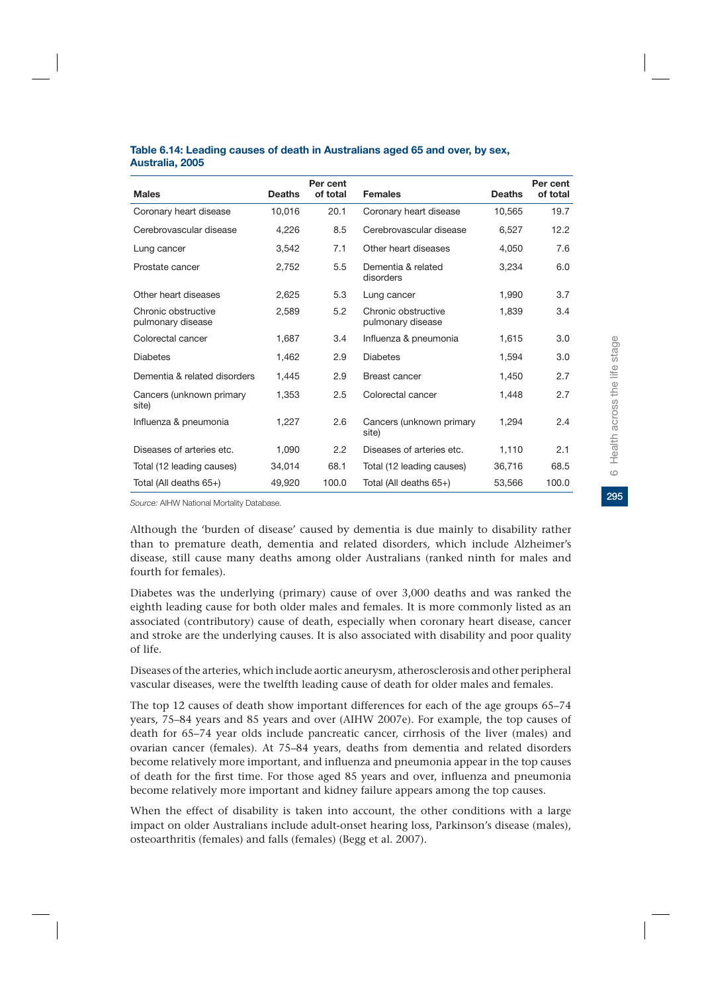|                                          |               | Per cent |                                          |               | Per cent |
|------------------------------------------|---------------|----------|------------------------------------------|---------------|----------|
| <b>Males</b>                             | <b>Deaths</b> | of total | <b>Females</b>                           | <b>Deaths</b> | of total |
| Coronary heart disease                   | 10,016        | 20.1     | Coronary heart disease                   | 10,565        | 19.7     |
| Cerebrovascular disease                  | 4,226         | 8.5      | Cerebrovascular disease                  | 6,527         | 12.2     |
| Lung cancer                              | 3,542         | 7.1      | Other heart diseases                     | 4.050         | 7.6      |
| Prostate cancer                          | 2,752         | 5.5      | Dementia & related<br>disorders          | 3,234         | 6.0      |
| Other heart diseases                     | 2,625         | 5.3      | Lung cancer                              | 1,990         | 3.7      |
| Chronic obstructive<br>pulmonary disease | 2,589         | 5.2      | Chronic obstructive<br>pulmonary disease | 1.839         | 3.4      |
| Colorectal cancer                        | 1,687         | 3.4      | Influenza & pneumonia                    | 1,615         | 3.0      |
| <b>Diabetes</b>                          | 1,462         | 2.9      | <b>Diabetes</b>                          | 1,594         | 3.0      |
| Dementia & related disorders             | 1,445         | 2.9      | <b>Breast cancer</b>                     | 1,450         | 2.7      |
| Cancers (unknown primary<br>site)        | 1,353         | 2.5      | Colorectal cancer                        | 1,448         | 2.7      |
| Influenza & pneumonia                    | 1.227         | 2.6      | Cancers (unknown primary<br>site)        | 1.294         | 2.4      |
| Diseases of arteries etc.                | 1,090         | 2.2      | Diseases of arteries etc.                | 1,110         | 2.1      |
| Total (12 leading causes)                | 34,014        | 68.1     | Total (12 leading causes)                | 36,716        | 68.5     |
| Total (All deaths 65+)                   | 49,920        | 100.0    | Total (All deaths 65+)                   | 53,566        | 100.0    |

#### **Table 6.14: Leading causes of death in Australians aged 65 and over, by sex, Australia, 2005**

*Source:* AIHW National Mortality Database.

Although the 'burden of disease' caused by dementia is due mainly to disability rather than to premature death, dementia and related disorders, which include Alzheimer's disease, still cause many deaths among older Australians (ranked ninth for males and fourth for females).

Diabetes was the underlying (primary) cause of over 3,000 deaths and was ranked the eighth leading cause for both older males and females. It is more commonly listed as an associated (contributory) cause of death, especially when coronary heart disease, cancer and stroke are the underlying causes. It is also associated with disability and poor quality of life.

Diseases of the arteries, which include aortic aneurysm, atherosclerosis and other peripheral vascular diseases, were the twelfth leading cause of death for older males and females.

The top 12 causes of death show important differences for each of the age groups 65–74 years, 75–84 years and 85 years and over (AIHW 2007e). For example, the top causes of death for 65–74 year olds include pancreatic cancer, cirrhosis of the liver (males) and ovarian cancer (females). At 75–84 years, deaths from dementia and related disorders become relatively more important, and influenza and pneumonia appear in the top causes of death for the first time. For those aged 85 years and over, influenza and pneumonia become relatively more important and kidney failure appears among the top causes.

When the effect of disability is taken into account, the other conditions with a large impact on older Australians include adult-onset hearing loss, Parkinson's disease (males), osteoarthritis (females) and falls (females) (Begg et al. 2007).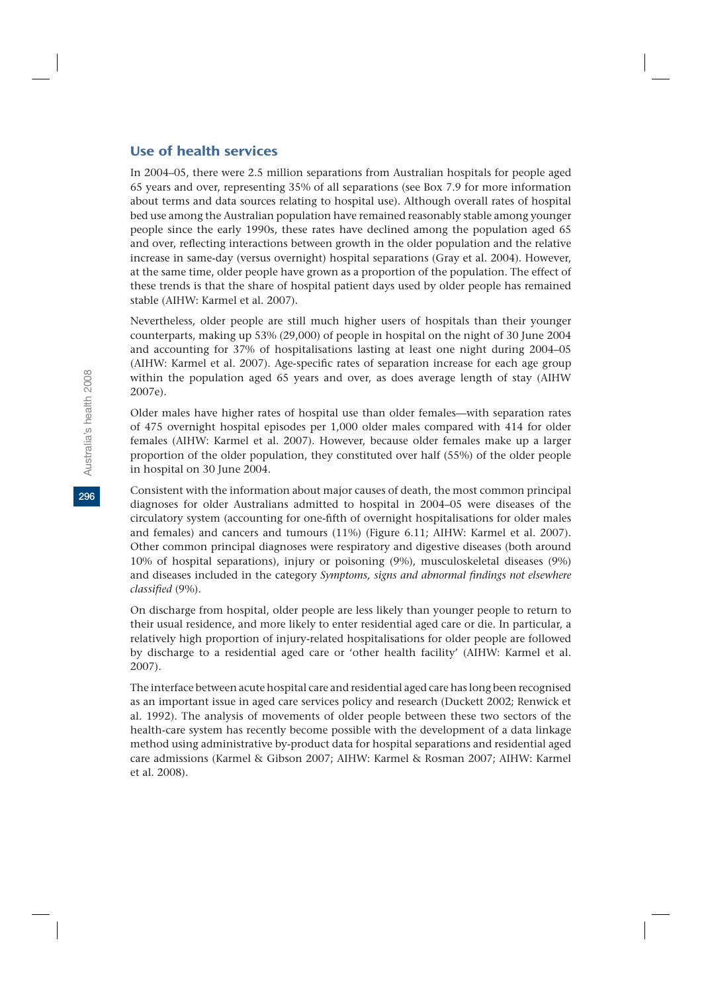### Use of health services

In 2004–05, there were 2.5 million separations from Australian hospitals for people aged 65 years and over, representing 35% of all separations (see Box 7.9 for more information about terms and data sources relating to hospital use). Although overall rates of hospital bed use among the Australian population have remained reasonably stable among younger people since the early 1990s, these rates have declined among the population aged 65 and over, reflecting interactions between growth in the older population and the relative increase in same-day (versus overnight) hospital separations (Gray et al. 2004). However, at the same time, older people have grown as a proportion of the population. The effect of these trends is that the share of hospital patient days used by older people has remained stable (AIHW: Karmel et al. 2007).

Nevertheless, older people are still much higher users of hospitals than their younger counterparts, making up 53% (29,000) of people in hospital on the night of 30 June 2004 and accounting for 37% of hospitalisations lasting at least one night during 2004–05 (AIHW: Karmel et al. 2007). Age-specific rates of separation increase for each age group within the population aged 65 years and over, as does average length of stay (AIHW 2007e).

Older males have higher rates of hospital use than older females—with separation rates of 475 overnight hospital episodes per 1,000 older males compared with 414 for older females (AIHW: Karmel et al. 2007). However, because older females make up a larger proportion of the older population, they constituted over half (55%) of the older people in hospital on 30 June 2004.

Consistent with the information about major causes of death, the most common principal diagnoses for older Australians admitted to hospital in 2004–05 were diseases of the circulatory system (accounting for one-fifth of overnight hospitalisations for older males and females) and cancers and tumours (11%) (Figure 6.11; AIHW: Karmel et al. 2007). Other common principal diagnoses were respiratory and digestive diseases (both around 10% of hospital separations), injury or poisoning (9%), musculoskeletal diseases (9%) and diseases included in the category *Symptoms, signs and abnormal findings not elsewhere classified* (9%).

On discharge from hospital, older people are less likely than younger people to return to their usual residence, and more likely to enter residential aged care or die. In particular, a relatively high proportion of injury-related hospitalisations for older people are followed by discharge to a residential aged care or 'other health facility' (AIHW: Karmel et al. 2007).

The interface between acute hospital care and residential aged care has long been recognised as an important issue in aged care services policy and research (Duckett 2002; Renwick et al. 1992). The analysis of movements of older people between these two sectors of the health-care system has recently become possible with the development of a data linkage method using administrative by-product data for hospital separations and residential aged care admissions (Karmel & Gibson 2007; AIHW: Karmel & Rosman 2007; AIHW: Karmel et al. 2008).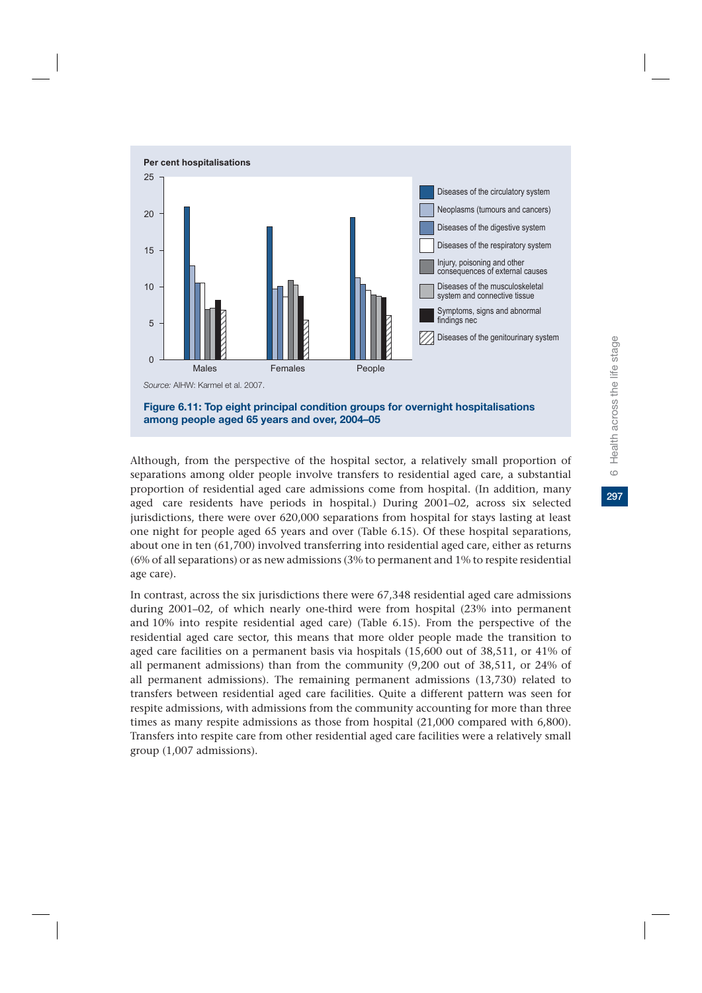

Although, from the perspective of the hospital sector, a relatively small proportion of separations among older people involve transfers to residential aged care, a substantial proportion of residential aged care admissions come from hospital. (In addition, many aged care residents have periods in hospital.) During 2001–02, across six selected jurisdictions, there were over 620,000 separations from hospital for stays lasting at least one night for people aged 65 years and over (Table 6.15). Of these hospital separations, about one in ten (61,700) involved transferring into residential aged care, either as returns (6% of all separations) or as new admissions (3% to permanent and 1% to respite residential age care).

In contrast, across the six jurisdictions there were 67,348 residential aged care admissions during 2001–02, of which nearly one-third were from hospital (23% into permanent and 10% into respite residential aged care) (Table 6.15). From the perspective of the residential aged care sector, this means that more older people made the transition to aged care facilities on a permanent basis via hospitals (15,600 out of 38,511, or 41% of all permanent admissions) than from the community (9,200 out of 38,511, or 24% of all permanent admissions). The remaining permanent admissions (13,730) related to transfers between residential aged care facilities. Quite a different pattern was seen for respite admissions, with admissions from the community accounting for more than three times as many respite admissions as those from hospital (21,000 compared with 6,800). Transfers into respite care from other residential aged care facilities were a relatively small group (1,007 admissions).

297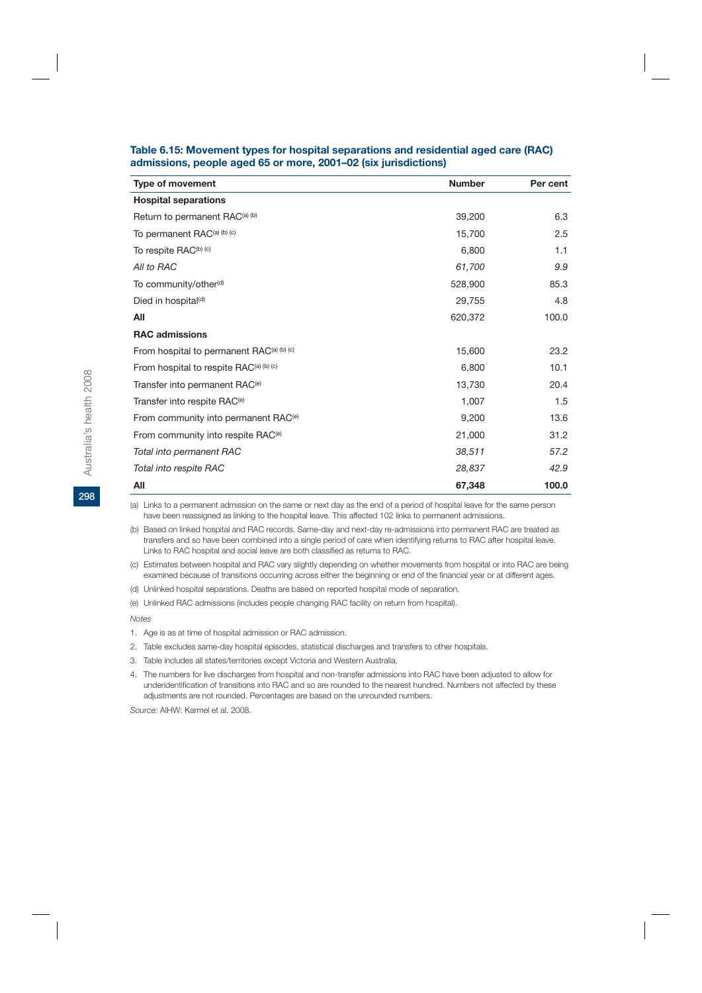| <b>Type of movement</b>                          | <b>Number</b> | Per cent |
|--------------------------------------------------|---------------|----------|
| <b>Hospital separations</b>                      |               |          |
| Return to permanent RAC <sup>(a)</sup> (b)       | 39,200        | 6.3      |
| To permanent RAC(a) (b) (c)                      | 15,700        | 2.5      |
| To respite RAC <sup>(b)</sup> (c)                | 6,800         | 1.1      |
| All to RAC                                       | 61,700        | 9.9      |
| To community/other <sup>(d)</sup>                | 528,900       | 85.3     |
| Died in hospital <sup>(d)</sup>                  | 29,755        | 4.8      |
| All                                              | 620,372       | 100.0    |
| <b>RAC admissions</b>                            |               |          |
| From hospital to permanent RAC(a) (b) (c)        | 15,600        | 23.2     |
| From hospital to respite RAC(a) (b) (c)          | 6,800         | 10.1     |
| Transfer into permanent RAC <sup>(e)</sup>       | 13,730        | 20.4     |
| Transfer into respite RAC <sup>(e)</sup>         | 1,007         | 1.5      |
| From community into permanent RAC <sup>(e)</sup> | 9,200         | 13.6     |
| From community into respite RAC <sup>(e)</sup>   | 21,000        | 31.2     |
| Total into permanent RAC                         | 38.511        | 57.2     |
| Total into respite RAC                           | 28,837        | 42.9     |
| All                                              | 67,348        | 100.0    |

#### **Table 6.15: Movement types for hospital separations and residential aged care (RAC) admissions, people aged 65 or more, 2001–02 (six jurisdictions)**

(a) Links to a permanent admission on the same or next day as the end of a period of hospital leave for the same person have been reassigned as linking to the hospital leave. This affected 102 links to permanent admissions.

(b) Based on linked hospital and RAC records. Same-day and next-day re-admissions into permanent RAC are treated as transfers and so have been combined into a single period of care when identifying returns to RAC after hospital leave. Links to RAC hospital and social leave are both classified as returns to RAC.

(c) Estimates between hospital and RAC vary slightly depending on whether movements from hospital or into RAC are being examined because of transitions occurring across either the beginning or end of the financial year or at different ages.

(d) Unlinked hospital separations. Deaths are based on reported hospital mode of separation.

(e) Unlinked RAC admissions (includes people changing RAC facility on return from hospital).

*Notes*

2. Table excludes same-day hospital episodes, statistical discharges and transfers to other hospitals.

3. Table includes all states/territories except Victoria and Western Australia.

4. The numbers for live discharges from hospital and non-transfer admissions into RAC have been adjusted to allow for underidentification of transitions into RAC and so are rounded to the nearest hundred. Numbers not affected by these adjustments are not rounded. Percentages are based on the unrounded numbers.

*Source:* AIHW: Karmel et al. 2008.

<sup>1.</sup> Age is as at time of hospital admission or RAC admission.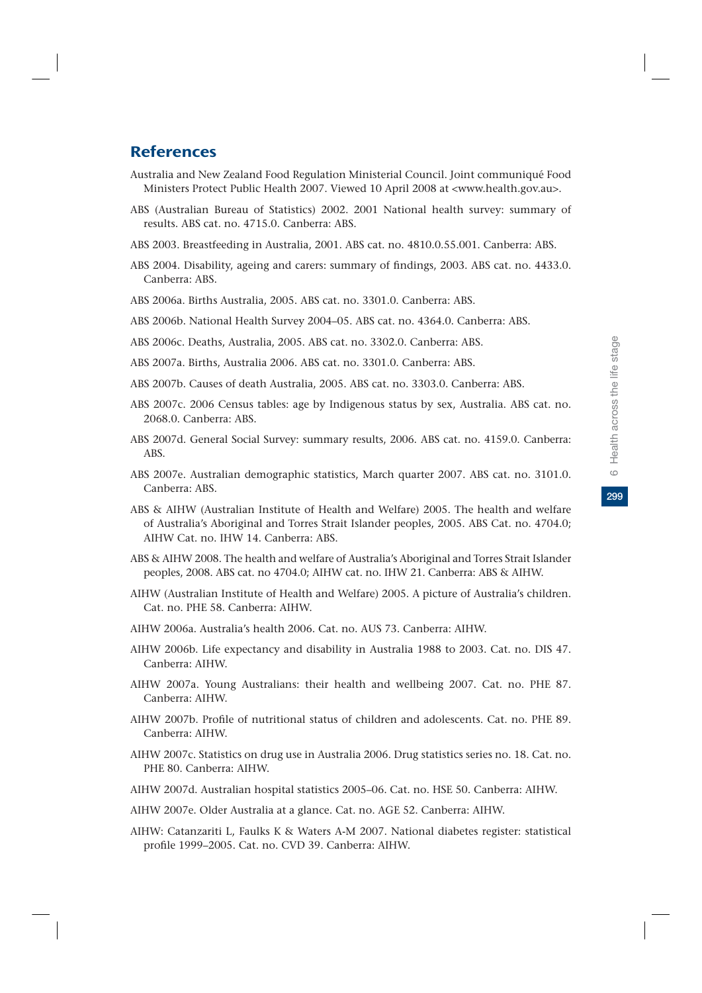299

# **References**

- Australia and New Zealand Food Regulation Ministerial Council. Joint communiqué Food Ministers Protect Public Health 2007. Viewed 10 April 2008 at <www.health.gov.au>.
- ABS (Australian Bureau of Statistics) 2002. 2001 National health survey: summary of results. ABS cat. no. 4715.0. Canberra: ABS.
- ABS 2003. Breastfeeding in Australia, 2001. ABS cat. no. 4810.0.55.001. Canberra: ABS.
- ABS 2004. Disability, ageing and carers: summary of findings, 2003. ABS cat. no. 4433.0. Canberra: ABS.
- ABS 2006a. Births Australia, 2005. ABS cat. no. 3301.0. Canberra: ABS.
- ABS 2006b. National Health Survey 2004–05. ABS cat. no. 4364.0. Canberra: ABS.
- ABS 2006c. Deaths, Australia, 2005. ABS cat. no. 3302.0. Canberra: ABS.
- ABS 2007a. Births, Australia 2006. ABS cat. no. 3301.0. Canberra: ABS.
- ABS 2007b. Causes of death Australia, 2005. ABS cat. no. 3303.0. Canberra: ABS.
- ABS 2007c. 2006 Census tables: age by Indigenous status by sex, Australia. ABS cat. no. 2068.0. Canberra: ABS.
- ABS 2007d. General Social Survey: summary results, 2006. ABS cat. no. 4159.0. Canberra: ABS.
- ABS 2007e. Australian demographic statistics, March quarter 2007. ABS cat. no. 3101.0. Canberra: ABS.
- ABS & AIHW (Australian Institute of Health and Welfare) 2005. The health and welfare of Australia's Aboriginal and Torres Strait Islander peoples, 2005. ABS Cat. no. 4704.0; AIHW Cat. no. IHW 14. Canberra: ABS.
- ABS & AIHW 2008. The health and welfare of Australia's Aboriginal and Torres Strait Islander peoples, 2008. ABS cat. no 4704.0; AIHW cat. no. IHW 21. Canberra: ABS & AIHW.
- AIHW (Australian Institute of Health and Welfare) 2005. A picture of Australia's children. Cat. no. PHE 58. Canberra: AIHW.
- AIHW 2006a. Australia's health 2006. Cat. no. AUS 73. Canberra: AIHW.
- AIHW 2006b. Life expectancy and disability in Australia 1988 to 2003. Cat. no. DIS 47. Canberra: AIHW.
- AIHW 2007a. Young Australians: their health and wellbeing 2007. Cat. no. PHE 87. Canberra: AIHW.
- AIHW 2007b. Profile of nutritional status of children and adolescents. Cat. no. PHE 89. Canberra: AIHW.
- AIHW 2007c. Statistics on drug use in Australia 2006. Drug statistics series no. 18. Cat. no. PHE 80. Canberra: AIHW.
- AIHW 2007d. Australian hospital statistics 2005–06. Cat. no. HSE 50. Canberra: AIHW.
- AIHW 2007e. Older Australia at a glance. Cat. no. AGE 52. Canberra: AIHW.
- AIHW: Catanzariti L, Faulks K & Waters A-M 2007. National diabetes register: statistical profile 1999–2005. Cat. no. CVD 39. Canberra: AIHW.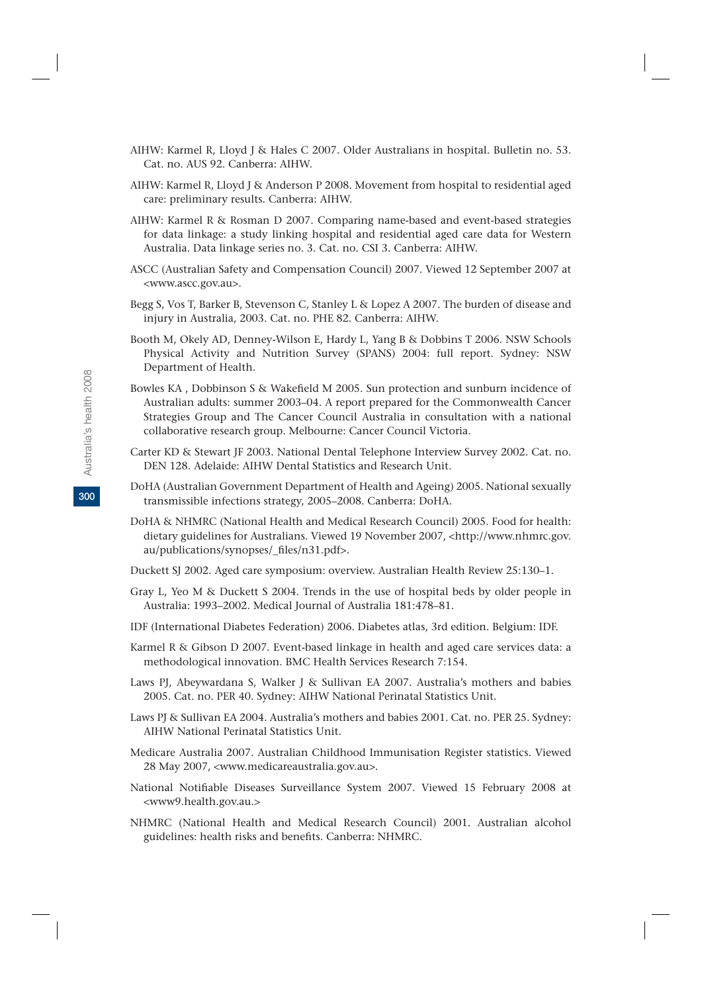- AIHW: Karmel R, Lloyd J & Hales C 2007. Older Australians in hospital. Bulletin no. 53. Cat. no. AUS 92. Canberra: AIHW.
- AIHW: Karmel R, Lloyd J & Anderson P 2008. Movement from hospital to residential aged care: preliminary results. Canberra: AIHW.
- AIHW: Karmel R & Rosman D 2007. Comparing name-based and event-based strategies for data linkage: a study linking hospital and residential aged care data for Western Australia. Data linkage series no. 3. Cat. no. CSI 3. Canberra: AIHW.
- ASCC (Australian Safety and Compensation Council) 2007. Viewed 12 September 2007 at <www.ascc.gov.au>.
- Begg S, Vos T, Barker B, Stevenson C, Stanley L & Lopez A 2007. The burden of disease and injury in Australia, 2003. Cat. no. PHE 82. Canberra: AIHW.
- Booth M, Okely AD, Denney-Wilson E, Hardy L, Yang B & Dobbins T 2006. NSW Schools Physical Activity and Nutrition Survey (SPANS) 2004: full report. Sydney: NSW Department of Health.
- Bowles KA , Dobbinson S & Wakefield M 2005. Sun protection and sunburn incidence of Australian adults: summer 2003–04. A report prepared for the Commonwealth Cancer Strategies Group and The Cancer Council Australia in consultation with a national collaborative research group. Melbourne: Cancer Council Victoria.
- Carter KD & Stewart JF 2003. National Dental Telephone Interview Survey 2002. Cat. no. DEN 128. Adelaide: AIHW Dental Statistics and Research Unit.
- DoHA (Australian Government Department of Health and Ageing) 2005. National sexually transmissible infections strategy, 2005–2008. Canberra: DoHA.
- DoHA & NHMRC (National Health and Medical Research Council) 2005. Food for health: dietary guidelines for Australians. Viewed 19 November 2007, <http://www.nhmrc.gov. au/publications/synopses/\_files/n31.pdf>.
- Duckett SJ 2002. Aged care symposium: overview. Australian Health Review 25:130–1.
- Gray L, Yeo M & Duckett S 2004. Trends in the use of hospital beds by older people in Australia: 1993–2002. Medical Journal of Australia 181:478–81.
- IDF (International Diabetes Federation) 2006. Diabetes atlas, 3rd edition. Belgium: IDF.
- Karmel R & Gibson D 2007. Event-based linkage in health and aged care services data: a methodological innovation. BMC Health Services Research 7:154.
- Laws PJ, Abeywardana S, Walker J & Sullivan EA 2007. Australia's mothers and babies 2005. Cat. no. PER 40. Sydney: AIHW National Perinatal Statistics Unit.
- Laws PJ & Sullivan EA 2004. Australia's mothers and babies 2001. Cat. no. PER 25. Sydney: AIHW National Perinatal Statistics Unit.
- Medicare Australia 2007. Australian Childhood Immunisation Register statistics. Viewed 28 May 2007, <www.medicareaustralia.gov.au>.
- National Notifiable Diseases Surveillance System 2007. Viewed 15 February 2008 at <www9.health.gov.au.>
- NHMRC (National Health and Medical Research Council) 2001. Australian alcohol guidelines: health risks and benefits. Canberra: NHMRC.